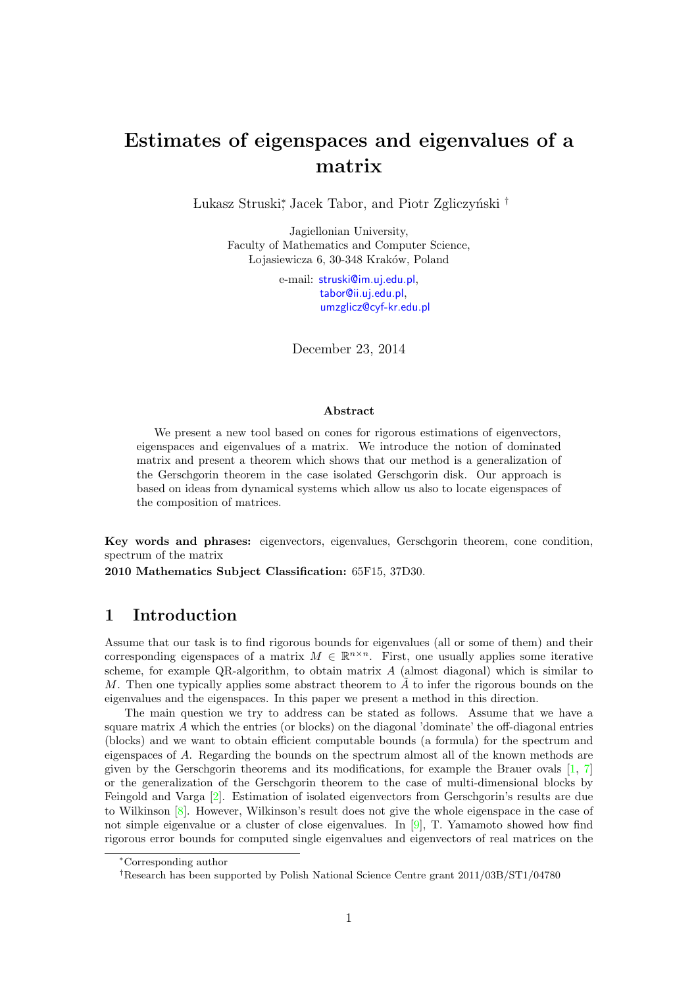# Estimates of eigenspaces and eigenvalues of a matrix

Lukasz Struski<sup>∗</sup>, Jacek Tabor, and Piotr Zgliczyński <sup>†</sup>

Jagiellonian University, Faculty of Mathematics and Computer Science, Lojasiewicza 6, 30-348 Kraków, Poland

> e-mail: [struski@im.uj.edu.pl](mailto:struski@im.uj.edu.pl), [tabor@ii.uj.edu.pl](mailto:tabor@ii.uj.edu.pl), [umzglicz@cyf-kr.edu.pl](mailto:umzglicz@cyf-kr.edu.pl)

December 23, 2014

#### Abstract

We present a new tool based on cones for rigorous estimations of eigenvectors, eigenspaces and eigenvalues of a matrix. We introduce the notion of dominated matrix and present a theorem which shows that our method is a generalization of the Gerschgorin theorem in the case isolated Gerschgorin disk. Our approach is based on ideas from dynamical systems which allow us also to locate eigenspaces of the composition of matrices.

Key words and phrases: eigenvectors, eigenvalues, Gerschgorin theorem, cone condition, spectrum of the matrix

2010 Mathematics Subject Classification: 65F15, 37D30.

## 1 Introduction

Assume that our task is to find rigorous bounds for eigenvalues (all or some of them) and their corresponding eigenspaces of a matrix  $M \in \mathbb{R}^{n \times n}$ . First, one usually applies some iterative scheme, for example QR-algorithm, to obtain matrix  $A$  (almost diagonal) which is similar to M. Then one typically applies some abstract theorem to  $\tilde{A}$  to infer the rigorous bounds on the eigenvalues and the eigenspaces. In this paper we present a method in this direction.

The main question we try to address can be stated as follows. Assume that we have a square matrix  $\vec{A}$  which the entries (or blocks) on the diagonal 'dominate' the off-diagonal entries (blocks) and we want to obtain efficient computable bounds (a formula) for the spectrum and eigenspaces of A. Regarding the bounds on the spectrum almost all of the known methods are given by the Gerschgorin theorems and its modifications, for example the Brauer ovals  $[1, 7]$  $[1, 7]$  $[1, 7]$ or the generalization of the Gerschgorin theorem to the case of multi-dimensional blocks by Feingold and Varga [\[2\]](#page-22-2). Estimation of isolated eigenvectors from Gerschgorin's results are due to Wilkinson [\[8\]](#page-22-3). However, Wilkinson's result does not give the whole eigenspace in the case of not simple eigenvalue or a cluster of close eigenvalues. In [\[9\]](#page-22-4), T. Yamamoto showed how find rigorous error bounds for computed single eigenvalues and eigenvectors of real matrices on the

<sup>∗</sup>Corresponding author

<sup>†</sup>Research has been supported by Polish National Science Centre grant 2011/03B/ST1/04780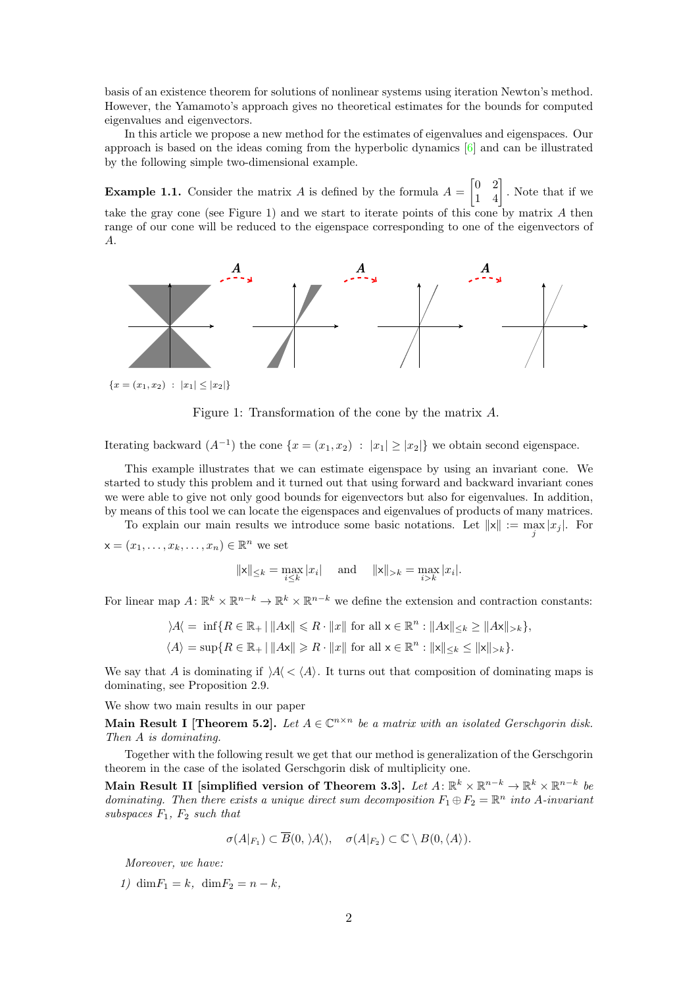basis of an existence theorem for solutions of nonlinear systems using iteration Newton's method. However, the Yamamoto's approach gives no theoretical estimates for the bounds for computed eigenvalues and eigenvectors.

In this article we propose a new method for the estimates of eigenvalues and eigenspaces. Our approach is based on the ideas coming from the hyperbolic dynamics  $[6]$  and can be illustrated by the following simple two-dimensional example.

**Example 1.1.** Consider the matrix A is defined by the formula  $A = \begin{bmatrix} 0 & 2 \\ 1 & 4 \end{bmatrix}$ . Note that if we take the gray cone (see Figure [1\)](#page-1-0) and we start to iterate points of this cone by matrix A then range of our cone will be reduced to the eigenspace corresponding to one of the eigenvectors of A.

<span id="page-1-0"></span>

Figure 1: Transformation of the cone by the matrix A.

Iterating backward  $(A^{-1})$  the cone  $\{x = (x_1, x_2) : |x_1| \geq |x_2|\}$  we obtain second eigenspace.

This example illustrates that we can estimate eigenspace by using an invariant cone. We started to study this problem and it turned out that using forward and backward invariant cones we were able to give not only good bounds for eigenvectors but also for eigenvalues. In addition, by means of this tool we can locate the eigenspaces and eigenvalues of products of many matrices.

To explain our main results we introduce some basic notations. Let  $||x|| := \max_j |x_j|$ . For

 $\mathsf{x}=(x_1,\ldots,x_k,\ldots,x_n)\in\mathbb{R}^n$  we set

$$
||x||_{\leq k} = \max_{i \leq k} |x_i|
$$
 and  $||x||_{>k} = \max_{i > k} |x_i|$ .

For linear map  $A: \mathbb{R}^k \times \mathbb{R}^{n-k} \to \mathbb{R}^k \times \mathbb{R}^{n-k}$  we define the extension and contraction constants:

$$
\begin{aligned}\n\lambda A &= \inf \{ R \in \mathbb{R}_+ \,|\, \|A\mathbf{x}\| \leq R \cdot \|x\| \text{ for all } \mathbf{x} \in \mathbb{R}^n : \|A\mathbf{x}\| \leq k \geq \|A\mathbf{x}\|_{>k} \}, \\
\langle A \rangle &= \sup \{ R \in \mathbb{R}_+ \,|\, \|A\mathbf{x}\| \geq R \cdot \|x\| \text{ for all } \mathbf{x} \in \mathbb{R}^n : \| \mathbf{x} \| \leq k \leq \| \mathbf{x} \|_{>k} \}.\n\end{aligned}
$$

We say that A is dominating if  $\lambda \langle \langle A \rangle$ . It turns out that composition of dominating maps is dominating, see Proposition [2.9.](#page-5-0)

We show two main results in our paper

Main Result I [Theorem [5.2\]](#page-17-0). Let  $A \in \mathbb{C}^{n \times n}$  be a matrix with an isolated Gerschgorin disk. Then A is dominating.

Together with the following result we get that our method is generalization of the Gerschgorin theorem in the case of the isolated Gerschgorin disk of multiplicity one.

Main Result II [simplified version of Theorem [3.3\]](#page-9-0). Let  $A \colon \mathbb{R}^k \times \mathbb{R}^{n-k} \to \mathbb{R}^k \times \mathbb{R}^{n-k}$  be dominating. Then there exists a unique direct sum decomposition  $F_1 \oplus F_2 = \mathbb{R}^n$  into A-invariant subspaces  $F_1$ ,  $F_2$  such that

$$
\sigma(A|_{F_1}) \subset \overline{B}(0, \lambda A'), \quad \sigma(A|_{F_2}) \subset \mathbb{C} \setminus B(0, \langle A \rangle).
$$

Moreover, we have:

1) dim $F_1 = k$ , dim $F_2 = n - k$ ,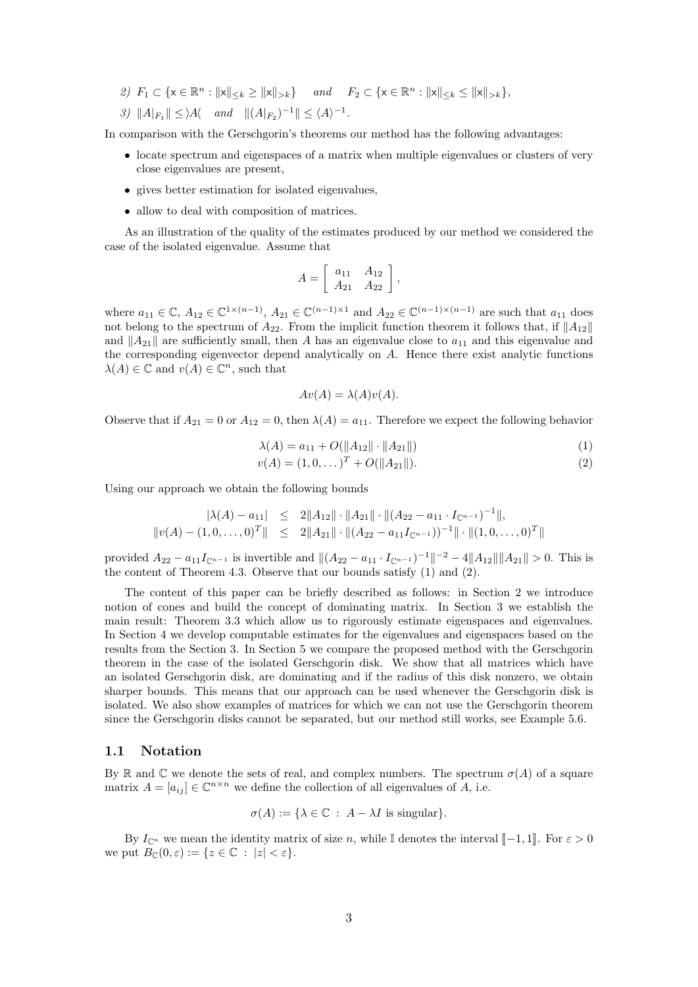- 2)  $F_1 \subset \{ \mathsf{x} \in \mathbb{R}^n : ||\mathsf{x}||_{\leq k} \geq ||\mathsf{x}||_{>k} \}$  and  $F_2 \subset \{ \mathsf{x} \in \mathbb{R}^n : ||\mathsf{x}||_{\leq k} \leq ||\mathsf{x}||_{>k} \},$
- 3)  $||A|_{F_1}|| \leq |A|$  and  $||(A|_{F_2})^{-1}|| \leq \langle A \rangle^{-1}$ .

In comparison with the Gerschgorin's theorems our method has the following advantages:

- locate spectrum and eigenspaces of a matrix when multiple eigenvalues or clusters of very close eigenvalues are present,
- gives better estimation for isolated eigenvalues,
- allow to deal with composition of matrices.

As an illustration of the quality of the estimates produced by our method we considered the case of the isolated eigenvalue. Assume that

$$
A = \left[ \begin{array}{cc} a_{11} & A_{12} \\ A_{21} & A_{22} \end{array} \right],
$$

where  $a_{11} \in \mathbb{C}$ ,  $A_{12} \in \mathbb{C}^{\{1 \times (n-1)\}}$ ,  $A_{21} \in \mathbb{C}^{\{n-1\} \times 1}$  and  $A_{22} \in \mathbb{C}^{\{n-1\} \times (n-1)}$  are such that  $a_{11}$  does not belong to the spectrum of  $A_{22}$ . From the implicit function theorem it follows that, if  $||A_{12}||$ and  $||A_{21}||$  are sufficiently small, then A has an eigenvalue close to  $a_{11}$  and this eigenvalue and the corresponding eigenvector depend analytically on A. Hence there exist analytic functions  $\lambda(A) \in \mathbb{C}$  and  $v(A) \in \mathbb{C}^n$ , such that

$$
Av(A) = \lambda(A)v(A).
$$

Observe that if  $A_{21} = 0$  or  $A_{12} = 0$ , then  $\lambda(A) = a_{11}$ . Therefore we expect the following behavior

$$
\lambda(A) = a_{11} + O(||A_{12}|| \cdot ||A_{21}||) \tag{1}
$$

<span id="page-2-0"></span>
$$
v(A) = (1, 0, \dots)^{T} + O(||A_{21}||). \tag{2}
$$

Using our approach we obtain the following bounds

$$
|\lambda(A) - a_{11}| \leq 2||A_{12}|| \cdot ||A_{21}|| \cdot ||(A_{22} - a_{11} \cdot I_{\mathbb{C}^{n-1}})^{-1}||,
$$
  

$$
||v(A) - (1, 0, \dots, 0)^{T}|| \leq 2||A_{21}|| \cdot ||(A_{22} - a_{11}I_{\mathbb{C}^{n-1}}))^{-1}|| \cdot ||(1, 0, \dots, 0)^{T}||
$$

provided  $A_{22} - a_{11}I_{\mathbb{C}^{n-1}}$  is invertible and  $||(A_{22} - a_{11} \cdot I_{\mathbb{C}^{n-1}})^{-1}||^{-2} - 4||A_{12}|| ||A_{21}|| > 0$ . This is the content of Theorem [4.3.](#page-11-0) Observe that our bounds satisfy [\(1\)](#page-2-0) and [\(2\)](#page-2-0).

The content of this paper can be briefly described as follows: in Section [2](#page-3-0) we introduce notion of cones and build the concept of dominating matrix. In Section [3](#page-7-0) we establish the main result: Theorem [3.3](#page-9-0) which allow us to rigorously estimate eigenspaces and eigenvalues. In Section [4](#page-10-0) we develop computable estimates for the eigenvalues and eigenspaces based on the results from the Section [3.](#page-7-0) In Section [5](#page-16-0) we compare the proposed method with the Gerschgorin theorem in the case of the isolated Gerschgorin disk. We show that all matrices which have an isolated Gerschgorin disk, are dominating and if the radius of this disk nonzero, we obtain sharper bounds. This means that our approach can be used whenever the Gerschgorin disk is isolated. We also show examples of matrices for which we can not use the Gerschgorin theorem since the Gerschgorin disks cannot be separated, but our method still works, see Example [5.6.](#page-20-0)

#### 1.1 Notation

By R and C we denote the sets of real, and complex numbers. The spectrum  $\sigma(A)$  of a square matrix  $A = [a_{ij}] \in \mathbb{C}^{n \times n}$  we define the collection of all eigenvalues of  $\tilde{A}$ , i.e.

$$
\sigma(A) := \{ \lambda \in \mathbb{C} : A - \lambda I \text{ is singular} \}.
$$

By  $I_{\mathbb{C}^n}$  we mean the identity matrix of size n, while I denotes the interval  $[-1, 1]$ . For  $\varepsilon > 0$ we put  $B_{\mathbb{C}}(0,\varepsilon) := \{z \in \mathbb{C} : |z| < \varepsilon\}.$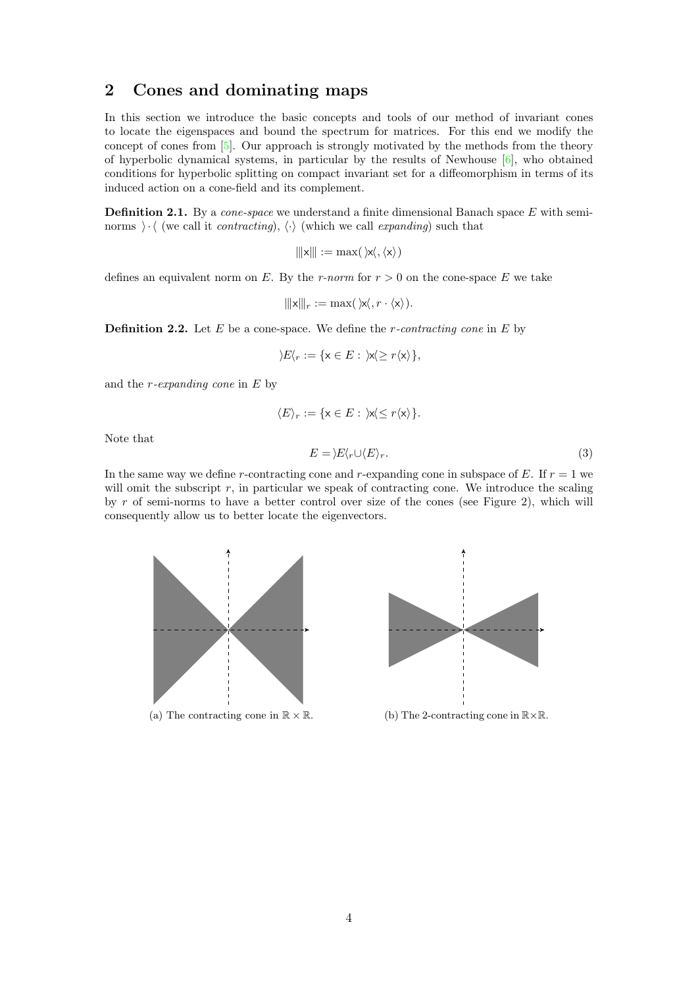# <span id="page-3-0"></span>2 Cones and dominating maps

In this section we introduce the basic concepts and tools of our method of invariant cones to locate the eigenspaces and bound the spectrum for matrices. For this end we modify the concept of cones from [\[5\]](#page-22-6). Our approach is strongly motivated by the methods from the theory of hyperbolic dynamical systems, in particular by the results of Newhouse [\[6\]](#page-22-5), who obtained conditions for hyperbolic splitting on compact invariant set for a diffeomorphism in terms of its induced action on a cone-field and its complement.

**Definition 2.1.** By a *cone-space* we understand a finite dimensional Banach space  $E$  with seminorms  $\cdot \cdot \cdot$  (we call it *contracting*),  $\langle \cdot \rangle$  (which we call *expanding*) such that

$$
\|x\| := \max(\,|x\langle,\langle x\rangle\,)
$$

defines an equivalent norm on E. By the r-norm for  $r > 0$  on the cone-space E we take

 $\|\mathbf{x}\|_r := \max(\mathbf{x}, r \cdot \mathbf{x}).$ 

<span id="page-3-1"></span>**Definition 2.2.** Let  $E$  be a cone-space. We define the *r*-contracting cone in  $E$  by

$$
\rangle E\langle r:=\{\mathbf{x}\in E:\;\mathbf{x}\langle\geq r\langle\mathbf{x}\rangle\},\;
$$

and the  $r$ -expanding cone in  $E$  by

$$
\langle E \rangle_r := \{ \mathbf{x} \in E : \, \mathbf{x} \langle \leq r \langle \mathbf{x} \rangle \}.
$$

Note that

<span id="page-3-2"></span>
$$
E = \frac{E}{r} \cup \frac{E}{r}.
$$
\n<sup>(3)</sup>

In the same way we define r-contracting cone and r-expanding cone in subspace of E. If  $r = 1$  we will omit the subscript  $r$ , in particular we speak of contracting cone. We introduce the scaling by r of semi-norms to have a better control over size of the cones (see Figure [2\)](#page-4-0), which will consequently allow us to better locate the eigenvectors.





(a) The contracting cone in  $\mathbb{R} \times \mathbb{R}$ . (b) The 2-contracting cone in  $\mathbb{R} \times \mathbb{R}$ .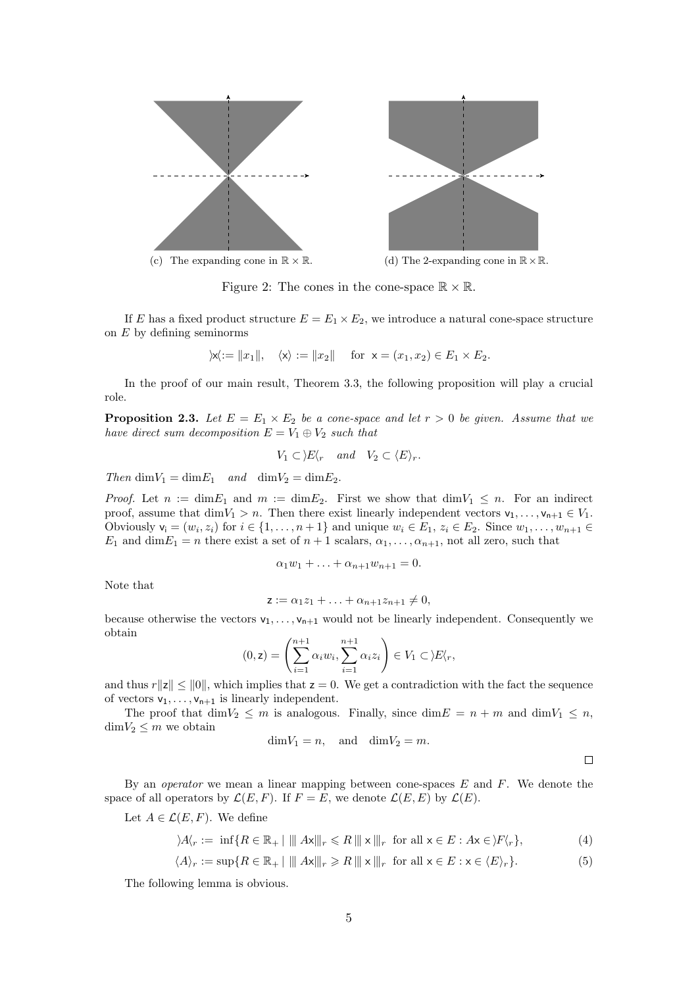<span id="page-4-0"></span>

Figure 2: The cones in the cone-space  $\mathbb{R} \times \mathbb{R}$ .

If E has a fixed product structure  $E = E_1 \times E_2$ , we introduce a natural cone-space structure on  $E$  by defining seminorms

$$
\rangle \! \mathsf{x} \! \langle \mathsf{x} \! \mathsf{x} \, \mathsf{d} \rangle \! \mid \mathsf{x} \! \mathsf{d} \rangle \! \mid \mathsf{x} \rangle := \! \lVert x_2 \rVert \quad \text{ for } \; \mathsf{x} = (x_1, x_2) \in E_1 \times E_2.
$$

In the proof of our main result, Theorem [3.3,](#page-9-0) the following proposition will play a crucial role.

<span id="page-4-3"></span>**Proposition 2.3.** Let  $E = E_1 \times E_2$  be a cone-space and let  $r > 0$  be given. Assume that we have direct sum decomposition  $E = V_1 \oplus V_2$  such that

$$
V_1 \subset \Sigma \langle r \quad and \quad V_2 \subset \langle E \rangle_r.
$$

Then  $\dim V_1 = \dim E_1$  and  $\dim V_2 = \dim E_2$ .

*Proof.* Let  $n := \dim E_1$  and  $m := \dim E_2$ . First we show that  $\dim V_1 \leq n$ . For an indirect proof, assume that  $\dim V_1 > n$ . Then there exist linearly independent vectors  $v_1, \ldots, v_{n+1} \in V_1$ . Obviously  $\mathsf{v}_i = (w_i, z_i)$  for  $i \in \{1, \ldots, n+1\}$  and unique  $w_i \in E_1, z_i \in E_2$ . Since  $w_1, \ldots, w_{n+1} \in$  $E_1$  and  $\dim E_1 = n$  there exist a set of  $n+1$  scalars,  $\alpha_1, \ldots, \alpha_{n+1}$ , not all zero, such that

$$
\alpha_1 w_1 + \ldots + \alpha_{n+1} w_{n+1} = 0.
$$

Note that

$$
\mathsf{z} := \alpha_1 z_1 + \ldots + \alpha_{n+1} z_{n+1} \neq 0,
$$

because otherwise the vectors  $v_1, \ldots, v_{n+1}$  would not be linearly independent. Consequently we obtain

$$
(0, \mathbf{z}) = \left(\sum_{i=1}^{n+1} \alpha_i w_i, \sum_{i=1}^{n+1} \alpha_i z_i\right) \in V_1 \subset \Sigma \langle r, \mathbf{z} \rangle
$$

and thus  $r||z|| \le ||0||$ , which implies that  $z = 0$ . We get a contradiction with the fact the sequence of vectors  $v_1, \ldots, v_{n+1}$  is linearly independent.

The proof that  $\dim V_2 \leq m$  is analogous. Finally, since  $\dim E = n + m$  and  $\dim V_1 \leq n$ ,  $\dim V_2 \leq m$  we obtain

$$
\dim V_1 = n, \quad \text{and} \quad \dim V_2 = m.
$$

<span id="page-4-2"></span><span id="page-4-1"></span> $\Box$ 

By an *operator* we mean a linear mapping between cone-spaces  $E$  and  $F$ . We denote the space of all operators by  $\mathcal{L}(E, F)$ . If  $F = E$ , we denote  $\mathcal{L}(E, E)$  by  $\mathcal{L}(E)$ .

Let  $A \in \mathcal{L}(E, F)$ . We define

$$
\lambda A'_r := \inf \{ R \in \mathbb{R}_+ \mid ||| Ax |||_r \le R ||| x |||_r \text{ for all } x \in E : Ax \in \mathcal{F}\langle r \rangle, \tag{4}
$$

$$
\langle A \rangle_r := \sup \{ R \in \mathbb{R}_+ \mid ||| A \mathbf{x} |||_r \ge R ||| \mathbf{x} |||_r \text{ for all } \mathbf{x} \in E : \mathbf{x} \in \langle E \rangle_r \}. \tag{5}
$$

The following lemma is obvious.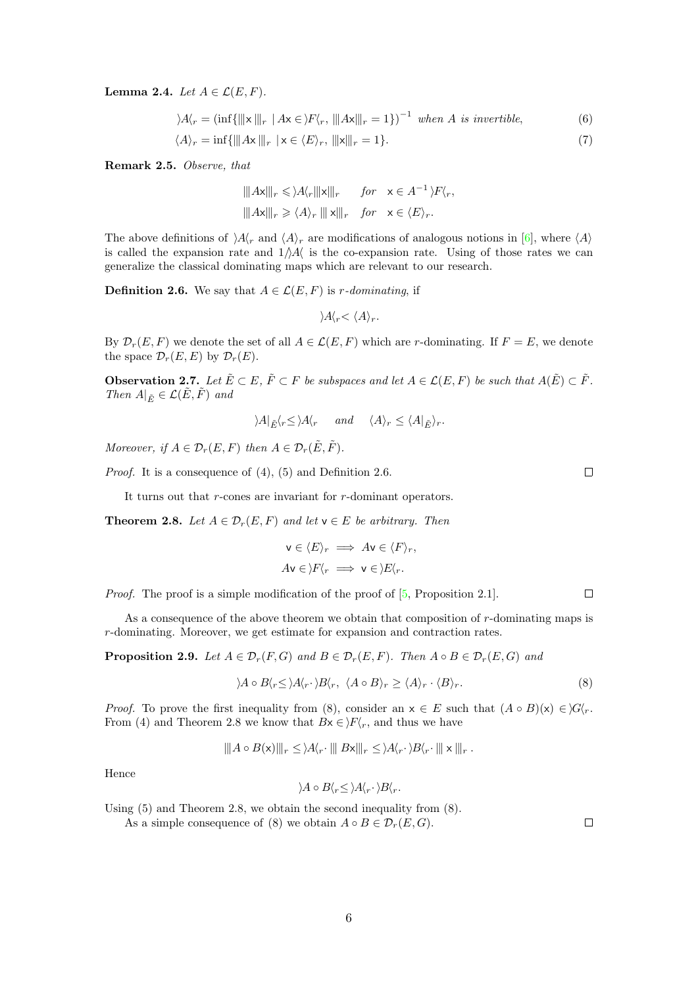<span id="page-5-8"></span>Lemma 2.4. Let  $A \in \mathcal{L}(E, F)$ .

$$
\rangle A\langle r = (\inf\{\|\mathbf{x}\| |r \mid A\mathbf{x} \in \rangle F\langle r, \|\|A\mathbf{x}\| |r = 1\})^{-1} \text{ when } A \text{ is invertible, } (6)
$$

 $\langle A \rangle_r = \inf \{ \| Ax \|_r \mid x \in \langle E \rangle_r, \| x \|_r = 1 \}.$  (7)

<span id="page-5-6"></span>Remark 2.5. Observe, that

$$
\|Ax\|_{r} \leq \lambda A_{r} \|x\|_{r} \quad \text{for} \quad x \in A^{-1} \setminus F\langle r,
$$
  

$$
\|Ax\|_{r} \geq \langle A \rangle_{r} \|x\|_{r} \quad \text{for} \quad x \in \langle E \rangle_{r}.
$$

The above definitions of  $A(r)$  and  $\langle A \rangle_r$  are modifications of analogous notions in [\[6\]](#page-22-5), where  $\langle A \rangle$ is called the expansion rate and  $1/\sqrt{A}$  is the co-expansion rate. Using of those rates we can generalize the classical dominating maps which are relevant to our research.

<span id="page-5-1"></span>**Definition 2.6.** We say that  $A \in \mathcal{L}(E, F)$  is *r*-dominating, if

<span id="page-5-5"></span><span id="page-5-4"></span> $\lambda A'_r < \langle A \rangle_r$ .

By  $\mathcal{D}_r(E, F)$  we denote the set of all  $A \in \mathcal{L}(E, F)$  which are r-dominating. If  $F = E$ , we denote the space  $\mathcal{D}_r(E,E)$  by  $\mathcal{D}_r(E)$ .

<span id="page-5-7"></span>**Observation 2.7.** Let  $\tilde{E} \subset E$ ,  $\tilde{F} \subset F$  be subspaces and let  $A \in \mathcal{L}(E, F)$  be such that  $A(\tilde{E}) \subset \tilde{F}$ . Then  $A|_{\tilde{E}} \in \mathcal{L}(E, F)$  and

$$
\langle A|_{\tilde{E}} \langle r \le \rangle A \langle r \quad and \quad \langle A \rangle_r \le \langle A|_{\tilde{E}} \rangle_r.
$$

Moreover, if  $A \in \mathcal{D}_r(E, F)$  then  $A \in \mathcal{D}_r(\tilde{E}, \tilde{F})$ .

Proof. It is a consequence of [\(4\)](#page-4-1), [\(5\)](#page-4-2) and Definition [2.6.](#page-5-1)

It turns out that r-cones are invariant for r-dominant operators.

<span id="page-5-3"></span>**Theorem 2.8.** Let  $A \in \mathcal{D}_r(E, F)$  and let  $\mathsf{v} \in E$  be arbitrary. Then

$$
\mathsf{v} \in \langle E \rangle_r \implies A\mathsf{v} \in \langle F \rangle_r,
$$
  

$$
A\mathsf{v} \in \rangle F \langle_r \implies \mathsf{v} \in \rangle E \langle_r.
$$

Proof. The proof is a simple modification of the proof of  $[5,$  Proposition 2.1].

As a consequence of the above theorem we obtain that composition of r-dominating maps is r-dominating. Moreover, we get estimate for expansion and contraction rates.

<span id="page-5-0"></span>**Proposition 2.9.** Let  $A \in \mathcal{D}_r(F, G)$  and  $B \in \mathcal{D}_r(E, F)$ . Then  $A \circ B \in \mathcal{D}_r(E, G)$  and

<span id="page-5-2"></span>
$$
\langle A \circ B \langle r \le \rangle A \langle r \cdot \rangle B \langle r, \langle A \circ B \rangle r \ge \langle A \rangle r \cdot \langle B \rangle r. \tag{8}
$$

*Proof.* To prove the first inequality from [\(8\)](#page-5-2), consider an  $x \in E$  such that  $(A \circ B)(x) \in G\langle r \rangle$ . From [\(4\)](#page-4-1) and Theorem [2.8](#page-5-3) we know that  $Bx \in \mathcal{F}\langle r, r \rangle$  and thus we have

$$
||A \circ B(\mathbf{x})||_r \leq |A\langle r \cdot ||B\mathbf{x}||_r \leq |A\langle r \cdot B\langle r \cdot ||\mathbf{x}||_r.
$$

Hence

$$
\rangle A \circ B \langle r \le \rangle A \langle r \cdot \rangle B \langle r.
$$

Using [\(5\)](#page-4-2) and Theorem [2.8,](#page-5-3) we obtain the second inequality from [\(8\)](#page-5-2).

As a simple consequence of [\(8\)](#page-5-2) we obtain  $A \circ B \in \mathcal{D}_r(E, G)$ .

 $\Box$ 

 $\Box$ 

 $\Box$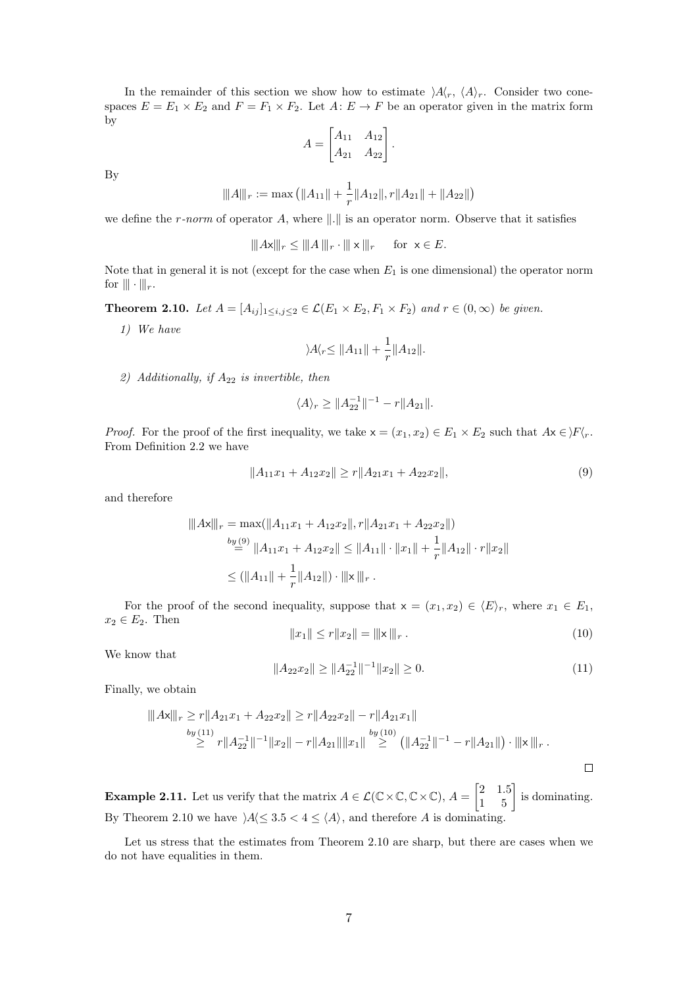In the remainder of this section we show how to estimate  $A\langle r, \langle A \rangle_r$ . Consider two conespaces  $E = E_1 \times E_2$  and  $F = F_1 \times F_2$ . Let  $A: E \to F$  be an operator given in the matrix form by

$$
A = \begin{bmatrix} A_{11} & A_{12} \\ A_{21} & A_{22} \end{bmatrix}.
$$

By

$$
|||A|||_r := \max\left(||A_{11}|| + \frac{1}{r}||A_{12}||, r||A_{21}|| + ||A_{22}||\right)
$$

we define the r-norm of operator A, where  $\|\cdot\|$  is an operator norm. Observe that it satisfies

$$
|||A\mathbf{x}|||_r \leq |||A|||_r \cdot ||| \mathbf{x}|||_r \quad \text{for } \mathbf{x} \in E.
$$

Note that in general it is not (except for the case when  $E_1$  is one dimensional) the operator norm for  $\|\cdot\|_r$ .

<span id="page-6-3"></span>**Theorem 2.10.** Let  $A = [A_{ij}]_{1 \le i,j \le 2} \in \mathcal{L}(E_1 \times E_2, F_1 \times F_2)$  and  $r \in (0, \infty)$  be given.

1) We have

$$
\rangle A\langle r \leq ||A_{11}|| + \frac{1}{r} ||A_{12}||.
$$

2) Additionally, if  $A_{22}$  is invertible, then

$$
\langle A \rangle_r \geq ||A_{22}^{-1}||^{-1} - r||A_{21}||.
$$

*Proof.* For the proof of the first inequality, we take  $x = (x_1, x_2) \in E_1 \times E_2$  such that  $Ax \in \mathcal{F}\backslash_{T}$ . From Definition [2.2](#page-3-1) we have

<span id="page-6-0"></span>
$$
||A_{11}x_1 + A_{12}x_2|| \ge r||A_{21}x_1 + A_{22}x_2||,
$$
\n(9)

and therefore

$$
|||Ax|||_{r} = \max(||A_{11}x_1 + A_{12}x_2||, r||A_{21}x_1 + A_{22}x_2||)
$$
  
\n
$$
\stackrel{by (9)}{=} ||A_{11}x_1 + A_{12}x_2|| \le ||A_{11}|| \cdot ||x_1|| + \frac{1}{r}||A_{12}|| \cdot r||x_2||
$$
  
\n
$$
\le (||A_{11}|| + \frac{1}{r}||A_{12}||) \cdot |||x|||_{r} .
$$

For the proof of the second inequality, suppose that  $x = (x_1, x_2) \in \langle E \rangle_r$ , where  $x_1 \in E_1$ ,  $x_2 \in E_2$ . Then

<span id="page-6-2"></span>
$$
||x_1|| \le r||x_2|| = |||x||_r.
$$
\n(10)

We know that

<span id="page-6-1"></span>
$$
||A_{22}x_2|| \ge ||A_{22}^{-1}||^{-1}||x_2|| \ge 0.
$$
\n(11)

Finally, we obtain

$$
|||Ax||_{r} \ge r||A_{21}x_1 + A_{22}x_2|| \ge r||A_{22}x_2|| - r||A_{21}x_1||
$$
  
\nby (11)  
\n
$$
\ge r||A_{22}^{-1}||^{-1}||x_2|| - r||A_{21}|| ||x_1|| \ge (||A_{22}^{-1}||^{-1} - r||A_{21}||) \cdot |||x|||_{r}.
$$

**Example 2.11.** Let us verify that the matrix  $A \in \mathcal{L}(\mathbb{C} \times \mathbb{C}, \mathbb{C} \times \mathbb{C}), A = \begin{bmatrix} 2 & 1.5 \\ 1 & 5 \end{bmatrix}$  is dominating. By Theorem [2.10](#page-6-3) we have  $\forall A \leq 3.5 < 4 \leq \langle A \rangle$ , and therefore A is dominating.

Let us stress that the estimates from Theorem [2.10](#page-6-3) are sharp, but there are cases when we do not have equalities in them.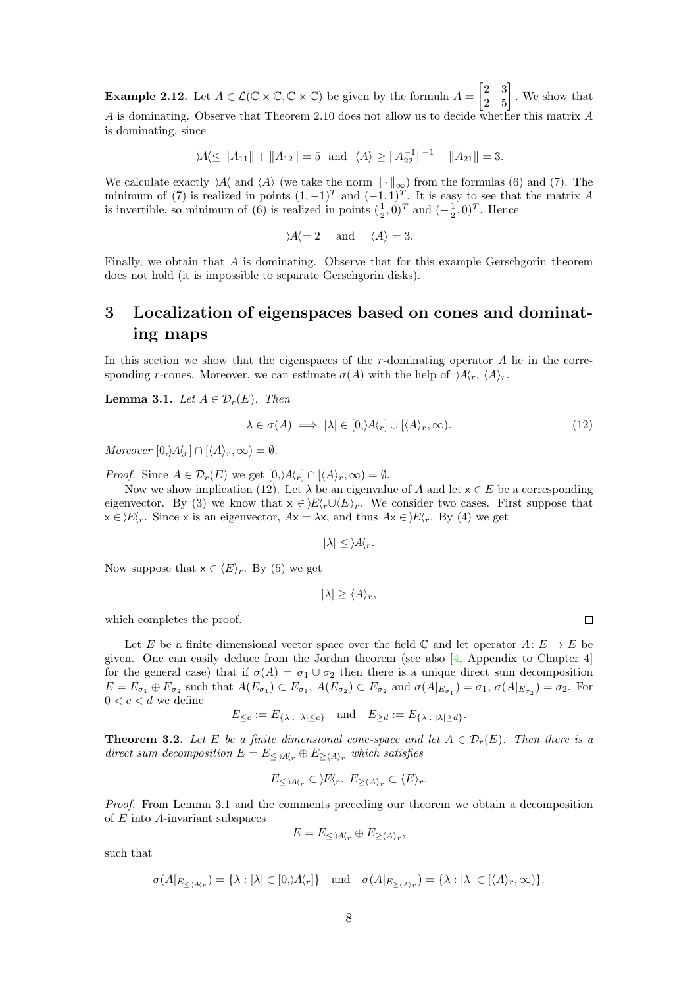<span id="page-7-4"></span>**Example 2.12.** Let  $A \in \mathcal{L}(\mathbb{C} \times \mathbb{C}, \mathbb{C} \times \mathbb{C})$  be given by the formula  $A = \begin{bmatrix} 2 & 3 \\ 2 & 5 \end{bmatrix}$ . We show that A is dominating. Observe that Theorem [2.10](#page-6-3) does not allow us to decide whether this matrix A is dominating, since

 $|A\rangle A \le ||A_{11}|| + ||A_{12}|| = 5$  and  $\langle A \rangle \ge ||A_{22}^{-1}||^{-1} - ||A_{21}|| = 3.$ 

We calculate exactly  $\lambda A$  and  $\langle A \rangle$  (we take the norm  $\|\cdot\|_{\infty}$ ) from the formulas [\(6\)](#page-5-4) and [\(7\)](#page-5-5). The minimum of [\(7\)](#page-5-5) is realized in points  $(1, -1)^T$  and  $(-1, 1)^T$ . It is easy to see that the matrix A is invertible, so minimum of [\(6\)](#page-5-4) is realized in points  $(\frac{1}{2}, 0)^T$  and  $(-\frac{1}{2}, 0)^T$ . Hence

$$
\rangle A \langle = 2 \quad \text{and} \quad \langle A \rangle = 3.
$$

Finally, we obtain that  $A$  is dominating. Observe that for this example Gerschgorin theorem does not hold (it is impossible to separate Gerschgorin disks).

# <span id="page-7-0"></span>3 Localization of eigenspaces based on cones and dominating maps

In this section we show that the eigenspaces of the  $r$ -dominating operator  $A$  lie in the corresponding r-cones. Moreover, we can estimate  $\sigma(A)$  with the help of  $\langle A \rangle_r$ ,  $\langle A \rangle_r$ .

<span id="page-7-2"></span>**Lemma 3.1.** Let  $A \in \mathcal{D}_r(E)$ . Then

<span id="page-7-1"></span>
$$
\lambda \in \sigma(A) \implies |\lambda| \in [0, \lambda/\Lambda_r] \cup [\langle A \rangle_r, \infty). \tag{12}
$$

Moreover  $[0, A\langle_r] \cap [\langle A \rangle_r, \infty) = \emptyset$ .

*Proof.* Since  $A \in \mathcal{D}_r(E)$  we get  $[0, A_r] \cap [A_r, \infty) = \emptyset$ .

Now we show implication [\(12\)](#page-7-1). Let  $\lambda$  be an eigenvalue of A and let  $x \in E$  be a corresponding eigenvector. By [\(3\)](#page-3-2) we know that  $x \in E\langle r \cup \langle E \rangle_r$ . We consider two cases. First suppose that  $x \in E\langle r$ . Since x is an eigenvector,  $Ax = \lambda x$ , and thus  $Ax \in E\langle r$ . By [\(4\)](#page-4-1) we get

$$
|\lambda| \leq \lambda A \langle r.
$$

Now suppose that  $x \in \langle E \rangle_r$ . By [\(5\)](#page-4-2) we get

$$
|\lambda| \ge \langle A \rangle_r,
$$

which completes the proof.

Let E be a finite dimensional vector space over the field  $\mathbb C$  and let operator  $A: E \to E$  be given. One can easily deduce from the Jordan theorem (see also [\[4,](#page-22-7) Appendix to Chapter 4] for the general case) that if  $\sigma(A) = \sigma_1 \cup \sigma_2$  then there is a unique direct sum decomposition  $E = E_{\sigma_1} \oplus E_{\sigma_2}$  such that  $A(E_{\sigma_1}) \subset E_{\sigma_1}$ ,  $A(E_{\sigma_2}) \subset E_{\sigma_2}$  and  $\sigma(A|_{E_{\sigma_1}}) = \sigma_1$ ,  $\sigma(A|_{E_{\sigma_2}}) = \sigma_2$ . For  $0 < c < d$  we define

$$
E_{\leq c} := E_{\{\lambda \ : \ |\lambda| \leq c\}} \quad \text{and} \quad E_{\geq d} := E_{\{\lambda \ : \ |\lambda| \geq d\}}.
$$

<span id="page-7-3"></span>**Theorem 3.2.** Let E be a finite dimensional cone-space and let  $A \in \mathcal{D}_r(E)$ . Then there is a direct sum decomposition  $E = E_{\leq |A|_r} \oplus E_{\geq |A|_r}$  which satisfies

$$
E_{\leq \lambda A \langle r} \subset \rangle E \langle r, E_{\geq \langle A \rangle r} \subset \langle E \rangle_r.
$$

Proof. From Lemma [3.1](#page-7-2) and the comments preceding our theorem we obtain a decomposition of  $E$  into  $A$ -invariant subspaces

$$
E = E_{\leq \lambda A \langle r} \oplus E_{\geq \langle A \rangle_r},
$$

such that

$$
\sigma(A|_{E_{\leq \lambda A(r)}}) = \{\lambda : |\lambda| \in [0, |\lambda|_r]\} \quad \text{and} \quad \sigma(A|_{E_{\geq \langle A \rangle_r}}) = \{\lambda : |\lambda| \in [\langle A \rangle_r, \infty)\}.
$$

 $\Box$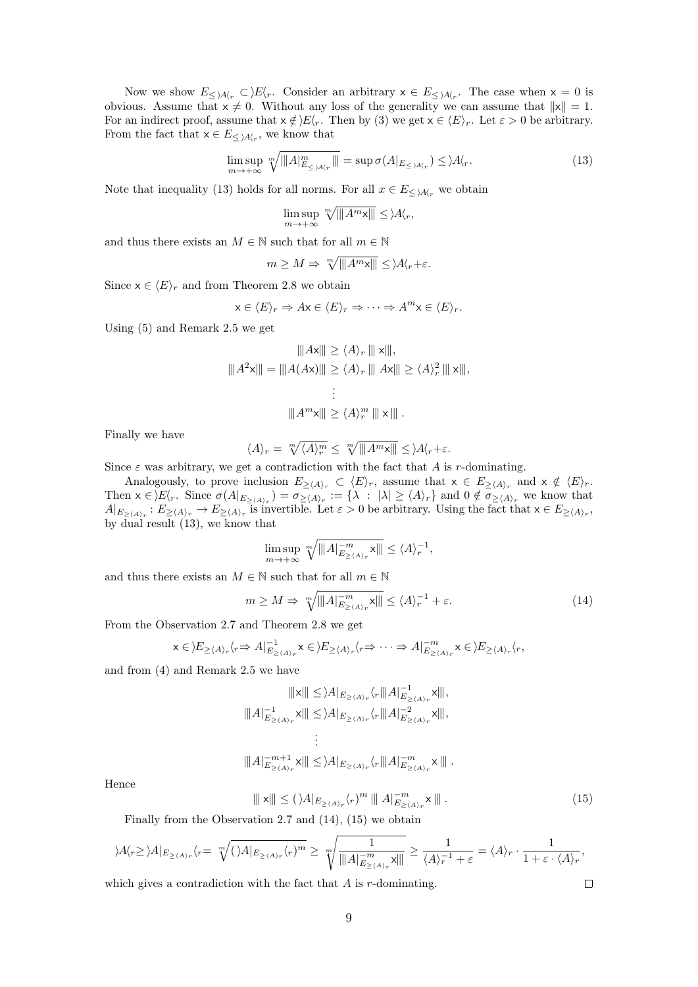Now we show  $E_{\leq \lambda A_r} \subset \Sigma/\langle r \rangle$ . Consider an arbitrary  $x \in E_{\leq \lambda A_r}$ . The case when  $x = 0$  is obvious. Assume that  $x \neq 0$ . Without any loss of the generality we can assume that  $||x|| = 1$ . For an indirect proof, assume that  $x \notin \mathcal{E}\langle r\rangle$ . Then by [\(3\)](#page-3-2) we get  $x \in \langle E \rangle_r$ . Let  $\varepsilon > 0$  be arbitrary. From the fact that  $x \in E_{\leq \lambda A(r)}$ , we know that

<span id="page-8-0"></span>
$$
\limsup_{m \to +\infty} \sqrt[m]{\|A\|_{E_{\leq \lambda A\langle r\}}^m\|} = \sup \sigma(A|_{E_{\leq \lambda A\langle r\rangle}}) \leq \lambda A\langle r. \tag{13}
$$

Note that inequality [\(13\)](#page-8-0) holds for all norms. For all  $x \in E_{\leq \lambda A_{\alpha}}$  we obtain

$$
\limsup_{m \to +\infty} \sqrt[m]{\|A^m \mathbf{x}\|} \leq \lambda A_r,
$$

and thus there exists an  $M \in \mathbb{N}$  such that for all  $m \in \mathbb{N}$ 

$$
m \ge M \Rightarrow \sqrt[m]{\|A^m \mathbf{x}\|} \le \lambda A \langle r + \varepsilon.
$$

Since  $x \in \langle E \rangle_r$  and from Theorem [2.8](#page-5-3) we obtain

$$
x \in \langle E \rangle_r \Rightarrow Ax \in \langle E \rangle_r \Rightarrow \dots \Rightarrow A^m x \in \langle E \rangle_r.
$$

Using [\(5\)](#page-4-2) and Remark [2.5](#page-5-6) we get

$$
|||Ax||| \ge \langle A \rangle_r |||x|||,
$$
  

$$
|||A^2x||| = |||A(Ax)||| \ge \langle A \rangle_r |||Ax||| \ge \langle A \rangle_r^2 |||x|||,
$$
  

$$
\vdots
$$
  

$$
|||A^m x||| \ge \langle A \rangle_r^m |||x|||.
$$

Finally we have

$$
\langle A \rangle_r = \sqrt[m]{\langle A \rangle_r^m} \le \sqrt[m]{\|A^m \mathbf{x}\|} \le \mathbf{A}\langle r + \varepsilon.
$$

Since  $\varepsilon$  was arbitrary, we get a contradiction with the fact that A is r-dominating.

Analogously, to prove inclusion  $E_{\geq (A)_r} \subset \langle E \rangle_r$ , assume that  $x \in E_{\geq (A)_r}$  and  $x \notin \langle E \rangle_r$ . Then  $x \in E\langle r$ . Since  $\sigma(A|_{E_{\geq \langle A \rangle_r}}) = \sigma_{\geq \langle A \rangle_r} := {\lambda : |\lambda| \geq \langle A \rangle_r}$  and  $0 \notin \sigma_{\geq \langle A \rangle_r}$  we know that  $A|_{E_{\geq \langle A \rangle_r}} : E_{\geq \langle A \rangle_r} \to E_{\geq \langle A \rangle_r}$  is invertible. Let  $\varepsilon > 0$  be arbitrary. Using the fact that  $x \in E_{\geq \langle A \rangle_r}$ , by  $\overline{d}$ ual result [\(13\)](#page-8-0), we know that

$$
\limsup_{m\to +\infty} \sqrt[m]{\|A\|_{E_{\geq \langle A \rangle_r}}^{-m} \mathsf{x} \|\|} \leq \langle A \rangle_r^{-1},
$$

and thus there exists an  $M \in \mathbb{N}$  such that for all  $m \in \mathbb{N}$ 

<span id="page-8-1"></span>
$$
m \ge M \Rightarrow \sqrt[m]{\|A\|_{E_{\ge \langle A \rangle_r}}^{-m}} \sqrt{\|A\|_{E_{\ge \langle A \rangle_r}}^{-m}} \le \langle A \rangle_r^{-1} + \varepsilon. \tag{14}
$$

From the Observation [2.7](#page-5-7) and Theorem [2.8](#page-5-3) we get

$$
x \in \sum_{n \geq \langle A \rangle_r} \langle r \Rightarrow A \vert_{E_{\geq \langle A \rangle_r}}^{-1} x \in \sum_{n \geq \langle A \rangle_r} \langle r \Rightarrow \dots \Rightarrow A \vert_{E_{\geq \langle A \rangle_r}}^{-m} x \in \sum_{n \geq \langle A \rangle_r} \langle r, \rangle
$$

and from [\(4\)](#page-4-1) and Remark [2.5](#page-5-6) we have

$$
\|x\| \leq \lambda \|_{E_{\geq \langle A \rangle_r}} \langle_r \|A\|_{E_{\geq \langle A \rangle_r}}^{-1} x\|,
$$
  

$$
\| \|A\|_{E_{\geq \langle A \rangle_r}}^{-1} x\| \leq \lambda \|_{E_{\geq \langle A \rangle_r}} \langle_r \| \|A\|_{E_{\geq \langle A \rangle_r}}^{-2} x\|,
$$
  

$$
\vdots
$$
  

$$
\| \|A\|_{E_{\geq \langle A \rangle_r}}^{-m+1} x\| \leq \lambda \|_{E_{\geq \langle A \rangle_r}} \langle_r \| \|A\|_{E_{\geq \langle A \rangle_r}}^{-m} x\|.
$$

Hence

<span id="page-8-2"></span>
$$
\|\mathbf{x}\| \le (\lambda A|_{E_{\ge \langle A \rangle_r}} \langle r \rangle^m \|\|A|_{E_{\ge \langle A \rangle_r}}^{-m} \mathbf{x}\|.
$$
\n
$$
(15)
$$

Finally from the Observation [2.7](#page-5-7) and [\(14\)](#page-8-1), [\(15\)](#page-8-2) we obtain

$$
\lambda A\langle r \ge \lambda A|_{E_{\ge \langle A \rangle_r}} \langle r = \sqrt[m]{(\lambda |_{E_{\ge \langle A \rangle_r}} \langle r)^m} \ge \sqrt[m]{\frac{1}{\|A\|_{E_{\ge \langle A \rangle_r}}^{\frac{1}{m}}} \ge \frac{1}{\langle A \rangle_r^{-1} + \varepsilon} = \langle A \rangle_r \cdot \frac{1}{1 + \varepsilon \cdot \langle A \rangle_r},
$$
  
hich gives a contradiction with the fact that A is r-dominating.

which gives a contradiction with the fact that  $A$  is  $r$ -dominating.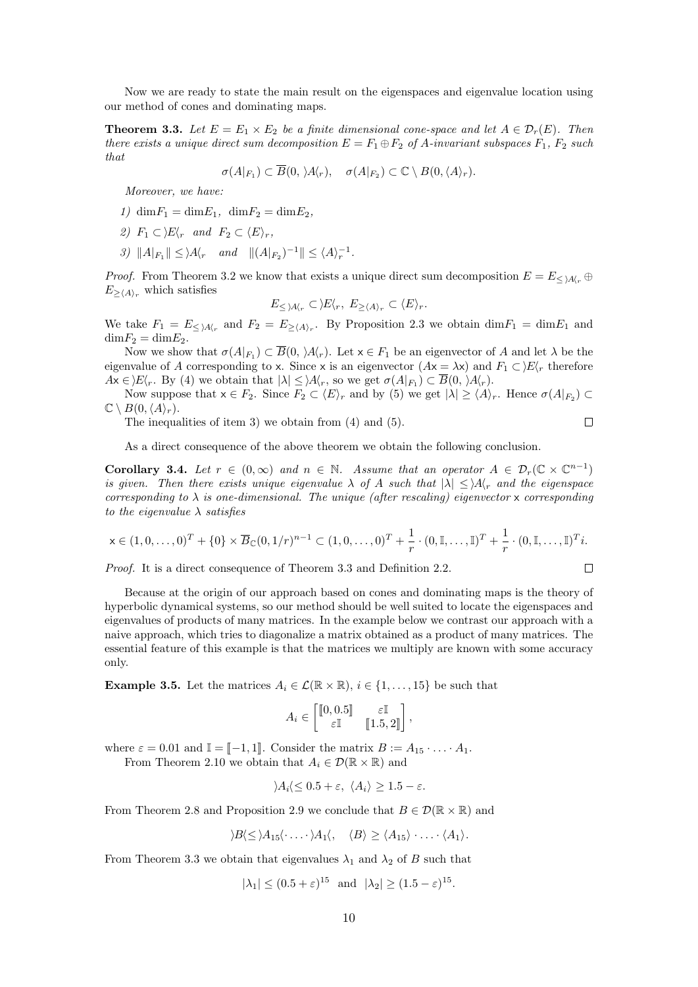Now we are ready to state the main result on the eigenspaces and eigenvalue location using our method of cones and dominating maps.

<span id="page-9-0"></span>**Theorem 3.3.** Let  $E = E_1 \times E_2$  be a finite dimensional cone-space and let  $A \in \mathcal{D}_r(E)$ . Then there exists a unique direct sum decomposition  $E = F_1 \oplus F_2$  of A-invariant subspaces  $F_1$ ,  $F_2$  such that

$$
\sigma(A|_{F_1}) \subset \overline{B}(0, \lambda A'_r), \quad \sigma(A|_{F_2}) \subset \mathbb{C} \setminus B(0, \langle A \rangle_r).
$$

Moreover, we have:

- 1)  $\dim F_1 = \dim E_1$ ,  $\dim F_2 = \dim E_2$ ,
- 2)  $F_1 \subset \Sigma_r$  and  $F_2 \subset \langle E \rangle_r$ ,
- <span id="page-9-1"></span>3)  $||A|_{F_1}|| \leq \lambda A_r$  and  $||(A|_{F_2})^{-1}|| \leq \langle A \rangle_r^{-1}$ .

*Proof.* From Theorem [3.2](#page-7-3) we know that exists a unique direct sum decomposition  $E = E_{\leq |\mathcal{A}|_r} \oplus$  $E_{\geq \langle A \rangle_r}$  which satisfies

$$
E_{\leq \lambda A \langle r} \subset \rangle E \langle r, E_{\geq \langle A \rangle_r} \subset \langle E \rangle_r.
$$

We take  $F_1 = E_{\leq |A|_r}$  and  $F_2 = E_{\geq \langle A \rangle_r}$ . By Proposition [2.3](#page-4-3) we obtain  $\dim F_1 = \dim F_1$  and  $\dim F_2 = \dim E_2$ .

Now we show that  $\sigma(A|_{F_1}) \subset \overline{B}(0, \lambda A'_r)$ . Let  $x \in F_1$  be an eigenvector of A and let  $\lambda$  be the eigenvalue of A corresponding to x. Since x is an eigenvector  $(Ax = \lambda x)$  and  $F_1 \subset \Sigma F$ , therefore  $Ax \in E\langle r$ . By [\(4\)](#page-4-1) we obtain that  $|\lambda| \leq \lambda \langle r$ , so we get  $\sigma(A|_{F_1}) \subset \overline{B}(0, \lambda \langle r \rangle)$ .

Now suppose that  $x \in F_2$ . Since  $F_2 \subset \langle E \rangle_r$  and by [\(5\)](#page-4-2) we get  $|\lambda| \ge \langle A \rangle_r$ . Hence  $\sigma(A|_{F_2}) \subset$  $\mathbb{C} \setminus B(0,\langle A \rangle_r).$  $\Box$ 

The inequalities of item [3\)](#page-9-1) we obtain from [\(4\)](#page-4-1) and [\(5\)](#page-4-2).

As a direct consequence of the above theorem we obtain the following conclusion.

<span id="page-9-2"></span>**Corollary 3.4.** Let  $r \in (0,\infty)$  and  $n \in \mathbb{N}$ . Assume that an operator  $A \in \mathcal{D}_r(\mathbb{C} \times \mathbb{C}^{n-1})$ is given. Then there exists unique eigenvalue  $\lambda$  of A such that  $|\lambda| < |A|$  and the eigenspace corresponding to  $\lambda$  is one-dimensional. The unique (after rescaling) eigenvector x corresponding to the eigenvalue  $\lambda$  satisfies

$$
x \in (1, 0, ..., 0)^{T} + \{0\} \times \overline{B}_{\mathbb{C}}(0, 1/r)^{n-1} \subset (1, 0, ..., 0)^{T} + \frac{1}{r} \cdot (0, \mathbb{I}, ..., \mathbb{I})^{T} + \frac{1}{r} \cdot (0, \mathbb{I}, ..., \mathbb{I})^{T} i.
$$

 $\Box$ 

Proof. It is a direct consequence of Theorem [3.3](#page-9-0) and Definition [2.2.](#page-3-1)

Because at the origin of our approach based on cones and dominating maps is the theory of hyperbolic dynamical systems, so our method should be well suited to locate the eigenspaces and eigenvalues of products of many matrices. In the example below we contrast our approach with a naive approach, which tries to diagonalize a matrix obtained as a product of many matrices. The essential feature of this example is that the matrices we multiply are known with some accuracy only.

**Example 3.5.** Let the matrices  $A_i \in \mathcal{L}(\mathbb{R} \times \mathbb{R}), i \in \{1, ..., 15\}$  be such that

$$
A_i \in \begin{bmatrix} \begin{bmatrix} 0, 0.5 \end{bmatrix} & \varepsilon \mathbb{I} \\ \varepsilon \mathbb{I} & \begin{bmatrix} 1.5, 2 \end{bmatrix} \end{bmatrix},
$$

where  $\varepsilon = 0.01$  and  $\mathbb{I} = [\![ -1, 1]\!]$ . Consider the matrix  $B := A_{15} \cdot \ldots \cdot A_1$ .

From Theorem [2.10](#page-6-3) we obtain that  $A_i \in \mathcal{D}(\mathbb{R} \times \mathbb{R})$  and

$$
\langle A_i \langle \leq 0.5 + \varepsilon, \ \langle A_i \rangle \geq 1.5 - \varepsilon.
$$

From Theorem [2.8](#page-5-3) and Proposition [2.9](#page-5-0) we conclude that  $B \in \mathcal{D}(\mathbb{R} \times \mathbb{R})$  and

$$
\langle B \langle \leq \rangle A_{15} \langle \cdots \rangle A_{1} \langle, \langle B \rangle \geq \langle A_{15} \rangle \cdots \langle A_{1} \rangle.
$$

From Theorem [3.3](#page-9-0) we obtain that eigenvalues  $\lambda_1$  and  $\lambda_2$  of B such that

$$
|\lambda_1| \le (0.5 + \varepsilon)^{15}
$$
 and  $|\lambda_2| \ge (1.5 - \varepsilon)^{15}$ .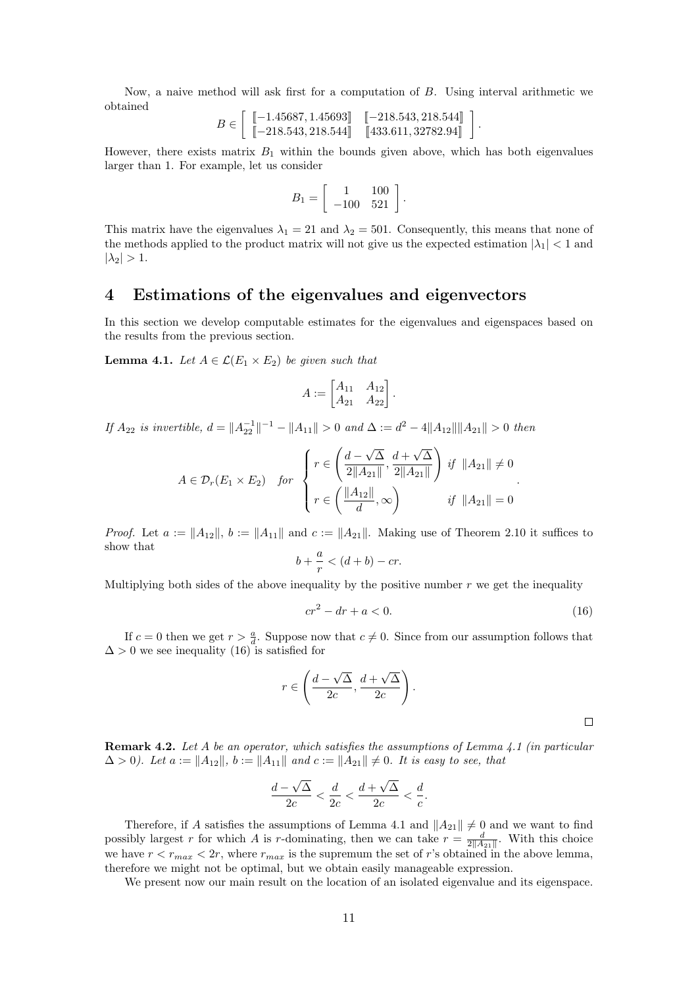Now, a naive method will ask first for a computation of B. Using interval arithmetic we obtained

$$
B \in \left[ \begin{array}{cc} \left[ -1.45687, 1.45693 \right] & \left[ -218.543, 218.544 \right] \\ \left[ -218.543, 218.544 \right] & \left[ 433.611, 32782.94 \right] \end{array} \right]
$$

However, there exists matrix  $B_1$  within the bounds given above, which has both eigenvalues larger than 1. For example, let us consider

$$
B_1 = \left[ \begin{array}{cc} 1 & 100 \\ -100 & 521 \end{array} \right].
$$

This matrix have the eigenvalues  $\lambda_1 = 21$  and  $\lambda_2 = 501$ . Consequently, this means that none of the methods applied to the product matrix will not give us the expected estimation  $|\lambda_1|$  < 1 and  $|\lambda_2| > 1$ .

### <span id="page-10-0"></span>4 Estimations of the eigenvalues and eigenvectors

In this section we develop computable estimates for the eigenvalues and eigenspaces based on the results from the previous section.

<span id="page-10-2"></span>**Lemma 4.1.** Let  $A \in \mathcal{L}(E_1 \times E_2)$  be given such that

$$
A := \begin{bmatrix} A_{11} & A_{12} \\ A_{21} & A_{22} \end{bmatrix}.
$$

If  $A_{22}$  is invertible,  $d = ||A_{22}^{-1}||^{-1} - ||A_{11}|| > 0$  and  $\Delta := d^2 - 4||A_{12}|| ||A_{21}|| > 0$  then

$$
A \in \mathcal{D}_r(E_1 \times E_2) \quad \text{for} \quad \begin{cases} r \in \left( \frac{d - \sqrt{\Delta}}{2||A_{21}||}, \frac{d + \sqrt{\Delta}}{2||A_{21}||} \right) \text{ if } ||A_{21}|| \neq 0 \\ r \in \left( \frac{||A_{12}||}{d}, \infty \right) \quad \text{if } ||A_{21}|| = 0 \end{cases}.
$$

*Proof.* Let  $a := ||A_{12}||$ ,  $b := ||A_{11}||$  and  $c := ||A_{21}||$ . Making use of Theorem [2.10](#page-6-3) it suffices to show that

$$
b + \frac{a}{r} < (d+b) - cr.
$$

Multiplying both sides of the above inequality by the positive number  $r$  we get the inequality

<span id="page-10-1"></span>
$$
cr^2 - dr + a < 0.\tag{16}
$$

.

If  $c = 0$  then we get  $r > \frac{a}{d}$ . Suppose now that  $c \neq 0$ . Since from our assumption follows that  $\Delta > 0$  we see inequality [\(16\)](#page-10-1) is satisfied for

$$
r \in \left(\frac{d-\sqrt{\Delta}}{2c}, \frac{d+\sqrt{\Delta}}{2c}\right).
$$

<span id="page-10-3"></span>**Remark 4.2.** Let A be an operator, which satisfies the assumptions of Lemma [4.1](#page-10-2) (in particular  $\Delta > 0$ ). Let  $a := ||A_{12}||$ ,  $b := ||A_{11}||$  and  $c := ||A_{21}|| \neq 0$ . It is easy to see, that

$$
\frac{d-\sqrt{\Delta}}{2c} < \frac{d}{2c} < \frac{d+\sqrt{\Delta}}{2c} < \frac{d}{c}.
$$

Therefore, if A satisfies the assumptions of Lemma [4.1](#page-10-2) and  $||A_{21}|| \neq 0$  and we want to find possibly largest r for which A is r-dominating, then we can take  $r = \frac{d}{2\|A_{21}\|}$ . With this choice we have  $r < r_{max} < 2r$ , where  $r_{max}$  is the supremum the set of r's obtained in the above lemma, therefore we might not be optimal, but we obtain easily manageable expression.

We present now our main result on the location of an isolated eigenvalue and its eigenspace.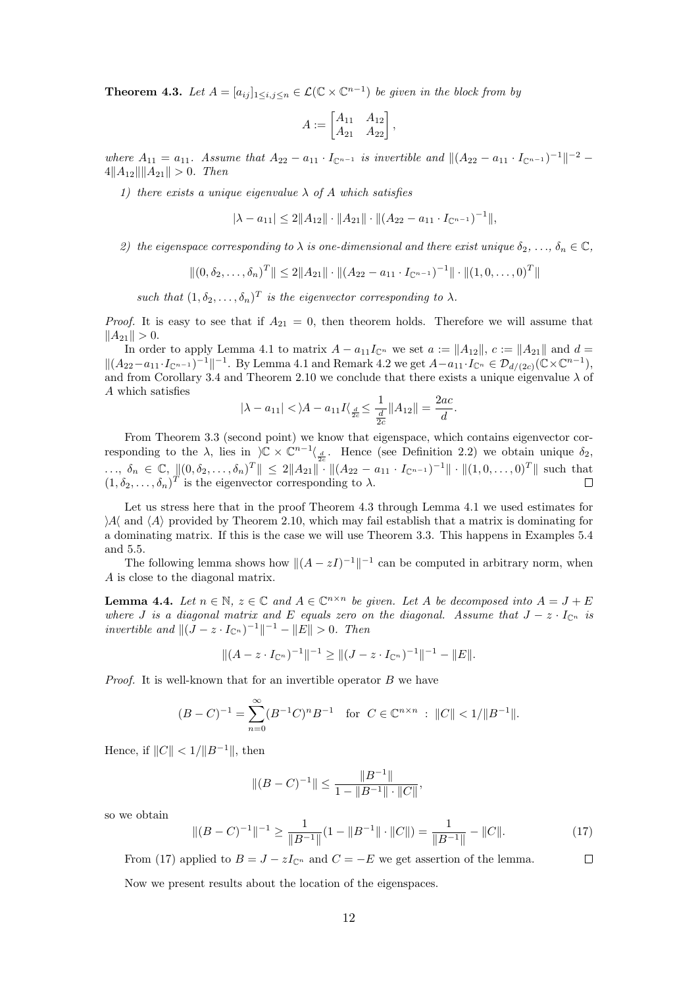<span id="page-11-0"></span>**Theorem 4.3.** Let  $A = [a_{ij}]_{1 \le i,j \le n} \in \mathcal{L}(\mathbb{C} \times \mathbb{C}^{n-1})$  be given in the block from by

$$
A := \begin{bmatrix} A_{11} & A_{12} \\ A_{21} & A_{22} \end{bmatrix},
$$

where  $A_{11} = a_{11}$ . Assume that  $A_{22} - a_{11} \cdot I_{\mathbb{C}^{n-1}}$  is invertible and  $\|(A_{22} - a_{11} \cdot I_{\mathbb{C}^{n-1}})^{-1}\|^{-2}$  $4||A_{12}|| ||A_{21}|| > 0$ . Then

1) there exists a unique eigenvalue  $\lambda$  of A which satisfies

$$
|\lambda - a_{11}| \le 2||A_{12}|| \cdot ||A_{21}|| \cdot ||(A_{22} - a_{11} \cdot I_{\mathbb{C}^{n-1}})^{-1}||,
$$

2) the eigenspace corresponding to  $\lambda$  is one-dimensional and there exist unique  $\delta_2, \ldots, \delta_n \in \mathbb{C}$ ,

$$
\|(0, \delta_2, \ldots, \delta_n)^T\| \le 2\|A_{21}\| \cdot \|(A_{22} - a_{11} \cdot I_{\mathbb{C}^{n-1}})^{-1} \| \cdot \|(1, 0, \ldots, 0)^T\|
$$

such that  $(1, \delta_2, \ldots, \delta_n)^T$  is the eigenvector corresponding to  $\lambda$ .

*Proof.* It is easy to see that if  $A_{21} = 0$ , then theorem holds. Therefore we will assume that  $||A_{21}|| > 0.$ 

In order to apply Lemma [4.1](#page-10-2) to matrix  $A - a_{11}I_{\mathbb{C}^n}$  we set  $a := \|A_{12}\|$ ,  $c := \|A_{21}\|$  and  $d =$  $||(A_{22}-a_{11} \cdot I_{\mathbb{C}^{n-1}})^{-1}||^{-1}$ . By Lemma [4.1](#page-10-2) and Remark [4.2](#page-10-3) we get  $A-a_{11} \cdot I_{\mathbb{C}^n} \in \mathcal{D}_{d/(2c)}(\mathbb{C} \times \mathbb{C}^{n-1}),$ and from Corollary [3.4](#page-9-2) and Theorem [2.10](#page-6-3) we conclude that there exists a unique eigenvalue  $\lambda$  of A which satisfies

$$
|\lambda - a_{11}| < |\lambda - a_{11}I|
$$
 $\frac{d}{dz} \le \frac{1}{\frac{d}{2c}} ||A_{12}|| = \frac{2ac}{d}.$ 

From Theorem [3.3](#page-9-0) (second point) we know that eigenspace, which contains eigenvector corresponding to the  $\lambda$ , lies in  $\varphi\propto \mathbb{C}^{n-1}\langle \underline{d} \rangle$ . Hence (see Definition [2.2\)](#page-3-1) we obtain unique  $\delta_2$ ,  $\ldots, \delta_n \in \mathbb{C}, \|(0, \delta_2, \ldots, \delta_n)^T\| \leq 2\|A_{21}\| \cdot \|A_{22} - a_{11} \cdot I_{\mathbb{C}^{n-1}}\right]^{-1} \| \cdot \|A_{22} \cdot \ldots, 0\|^T \|$  such that  $(1, \delta_2, \ldots, \delta_n)^T$  is the eigenvector corresponding to  $\lambda$ .

Let us stress here that in the proof Theorem [4.3](#page-11-0) through Lemma [4.1](#page-10-2) we used estimates for  $\mathcal{A}$  and  $\langle A \rangle$  provided by Theorem [2.10,](#page-6-3) which may fail establish that a matrix is dominating for a dominating matrix. If this is the case we will use Theorem [3.3.](#page-9-0) This happens in Examples [5.4](#page-19-0) and [5.5.](#page-20-1)

The following lemma shows how  $\|(A - zI)^{-1}\|^{-1}$  can be computed in arbitrary norm, when A is close to the diagonal matrix.

**Lemma 4.4.** Let  $n \in \mathbb{N}$ ,  $z \in \mathbb{C}$  and  $A \in \mathbb{C}^{n \times n}$  be given. Let A be decomposed into  $A = J + E$ where J is a diagonal matrix and E equals zero on the diagonal. Assume that  $J - z \cdot I_{\mathbb{C}^n}$  is *invertible and*  $||(J - z \cdot I_{\mathbb{C}^n})^{-1}||^{-1} - ||E|| > 0$ . Then

$$
||(A-z \cdot I_{\mathbb{C}^n})^{-1}||^{-1} \geq ||(J-z \cdot I_{\mathbb{C}^n})^{-1}||^{-1} - ||E||.
$$

*Proof.* It is well-known that for an invertible operator  $B$  we have

$$
(B - C)^{-1} = \sum_{n=0}^{\infty} (B^{-1}C)^n B^{-1} \text{ for } C \in \mathbb{C}^{n \times n} : ||C|| < 1/||B^{-1}||.
$$

Hence, if  $||C|| < 1/||B^{-1}||$ , then

$$
||(B-C)^{-1}|| \le \frac{||B^{-1}||}{1 - ||B^{-1}|| \cdot ||C||},
$$

so we obtain

<span id="page-11-1"></span>
$$
\|(B - C)^{-1}\|^{-1} \ge \frac{1}{\|B^{-1}\|} (1 - \|B^{-1}\| \cdot \|C\|) = \frac{1}{\|B^{-1}\|} - \|C\|.
$$
 (17)

From [\(17\)](#page-11-1) applied to  $B = J - zI_{\mathbb{C}^n}$  and  $C = -E$  we get assertion of the lemma.  $\Box$ 

Now we present results about the location of the eigenspaces.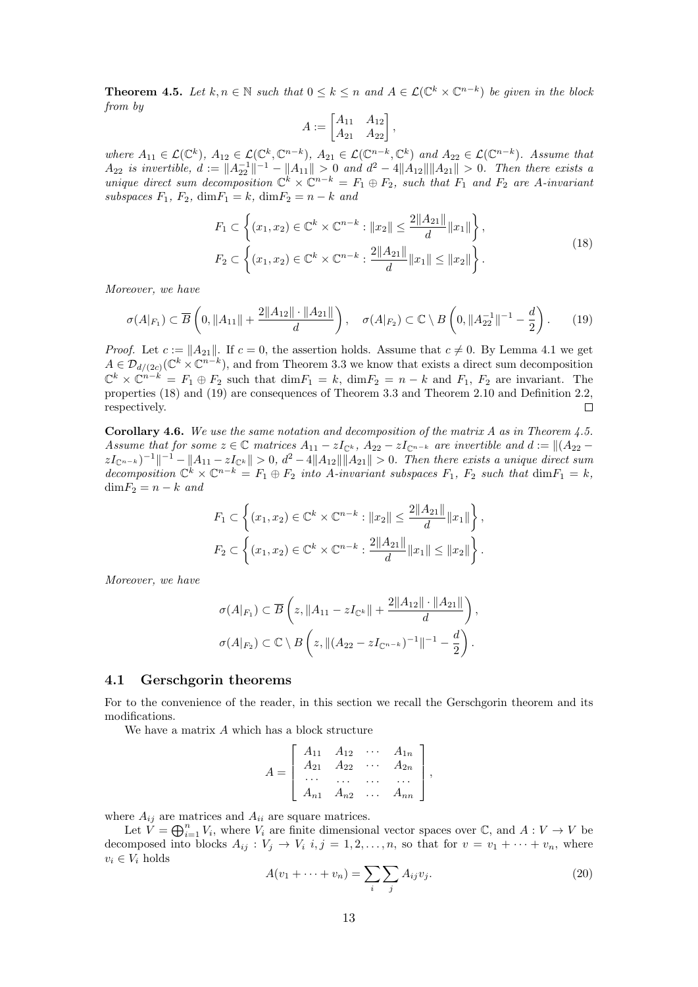<span id="page-12-2"></span>**Theorem 4.5.** Let  $k, n \in \mathbb{N}$  such that  $0 \leq k \leq n$  and  $A \in \mathcal{L}(\mathbb{C}^k \times \mathbb{C}^{n-k})$  be given in the block from by

$$
A := \begin{bmatrix} A_{11} & A_{12} \\ A_{21} & A_{22} \end{bmatrix},
$$

where  $A_{11} \in \mathcal{L}(\mathbb{C}^k)$ ,  $A_{12} \in \mathcal{L}(\mathbb{C}^k, \mathbb{C}^{n-k})$ ,  $A_{21} \in \mathcal{L}(\mathbb{C}^{n-k}, \mathbb{C}^k)$  and  $A_{22} \in \mathcal{L}(\mathbb{C}^{n-k})$ . Assume that  $A_{22}$  is invertible,  $d := \|A_{22}^{-1}\|^{-1} - \|A_{11}\| > 0$  and  $d^2 - 4\|A_{12}\|\|A_{21}\| > 0$ . Then there exists a unique direct sum decomposition  $\mathbb{C}^k \times \mathbb{C}^{n-k} = F_1 \oplus F_2$ , such that  $F_1$  and  $F_2$  are A-invariant subspaces  $F_1$ ,  $F_2$ , dim $F_1 = k$ , dim $F_2 = n - k$  and

<span id="page-12-0"></span>
$$
F_1 \subset \left\{ (x_1, x_2) \in \mathbb{C}^k \times \mathbb{C}^{n-k} : \|x_2\| \le \frac{2||A_{21}||}{d} ||x_1|| \right\},\
$$
  

$$
F_2 \subset \left\{ (x_1, x_2) \in \mathbb{C}^k \times \mathbb{C}^{n-k} : \frac{2||A_{21}||}{d} ||x_1|| \le ||x_2|| \right\}.
$$
  
(18)

Moreover, we have

<span id="page-12-1"></span>
$$
\sigma(A|_{F_1}) \subset \overline{B}\left(0, \|A_{11}\| + \frac{2\|A_{12}\| \cdot \|A_{21}\|}{d}\right), \quad \sigma(A|_{F_2}) \subset \mathbb{C} \setminus B\left(0, \|A_{22}^{-1}\|^{-1} - \frac{d}{2}\right). \tag{19}
$$

*Proof.* Let  $c := ||A_{21}||$ . If  $c = 0$ , the assertion holds. Assume that  $c \neq 0$ . By Lemma [4.1](#page-10-2) we get  $A \in \mathcal{D}_{d/(2c)}(\mathbb{C}^k \times \mathbb{C}^{n-k})$ , and from Theorem [3.3](#page-9-0) we know that exists a direct sum decomposition  $\mathbb{C}^k \times \mathbb{C}^{n-k} = F_1 \oplus F_2$  such that  $\dim F_1 = k$ ,  $\dim F_2 = n - k$  and  $F_1$ ,  $F_2$  are invariant. The properties [\(18\)](#page-12-0) and [\(19\)](#page-12-1) are consequences of Theorem [3.3](#page-9-0) and Theorem [2.10](#page-6-3) and Definition [2.2,](#page-3-1) respectively.  $\Box$ 

**Corollary 4.6.** We use the same notation and decomposition of the matrix A as in Theorem [4.5.](#page-12-2) Assume that for some  $z \in \mathbb{C}$  matrices  $A_{11} - zI_{\mathbb{C}^k}$ ,  $A_{22} - zI_{\mathbb{C}^{n-k}}$  are invertible and  $d := ||(A_{22} - zI_{\mathbb{C}^{n-k}})||$  $zI_{\mathbb{C}^{n-k}}$  $^{-1}$  $^{-1}$   $^{-1}$   $||A_{11} - zI_{\mathbb{C}^k}|| > 0$ ,  $d^2 - 4||A_{12}|| ||A_{21}|| > 0$ . Then there exists a unique direct sum decomposition  $\mathbb{C}^k \times \mathbb{C}^{n-k} = F_1 \oplus F_2$  into A-invariant subspaces  $F_1$ ,  $F_2$  such that  $\dim F_1 = k$ ,  $\dim F_2 = n - k$  and

$$
F_1 \subset \left\{ (x_1, x_2) \in \mathbb{C}^k \times \mathbb{C}^{n-k} : ||x_2|| \le \frac{2||A_{21}||}{d} ||x_1|| \right\},\
$$
  

$$
F_2 \subset \left\{ (x_1, x_2) \in \mathbb{C}^k \times \mathbb{C}^{n-k} : \frac{2||A_{21}||}{d} ||x_1|| \le ||x_2|| \right\}.
$$

Moreover, we have

$$
\sigma(A|_{F_1}) \subset \overline{B}\left(z, \|A_{11} - zI_{\mathbb{C}^k}\| + \frac{2\|A_{12}\| \cdot \|A_{21}\|}{d}\right),
$$
  

$$
\sigma(A|_{F_2}) \subset \mathbb{C} \setminus B\left(z, \|(A_{22} - zI_{\mathbb{C}^{n-k}})^{-1}\| - 1 - \frac{d}{2}\right).
$$

#### <span id="page-12-3"></span>4.1 Gerschgorin theorems

For to the convenience of the reader, in this section we recall the Gerschgorin theorem and its modifications.

We have a matrix A which has a block structure

$$
A = \begin{bmatrix} A_{11} & A_{12} & \cdots & A_{1n} \\ A_{21} & A_{22} & \cdots & A_{2n} \\ \cdots & \cdots & \cdots & \cdots \\ A_{n1} & A_{n2} & \cdots & A_{nn} \end{bmatrix},
$$

where  $A_{ij}$  are matrices and  $A_{ii}$  are square matrices.

Let  $V = \bigoplus_{i=1}^n V_i$ , where  $V_i$  are finite dimensional vector spaces over  $\mathbb{C}$ , and  $A: V \to V$  be decomposed into blocks  $A_{ij}: V_j \to V_i$   $i, j = 1, 2, ..., n$ , so that for  $v = v_1 + \cdots + v_n$ , where  $v_i \in V_i$  holds

$$
A(v_1 + \dots + v_n) = \sum_i \sum_j A_{ij} v_j.
$$
\n
$$
(20)
$$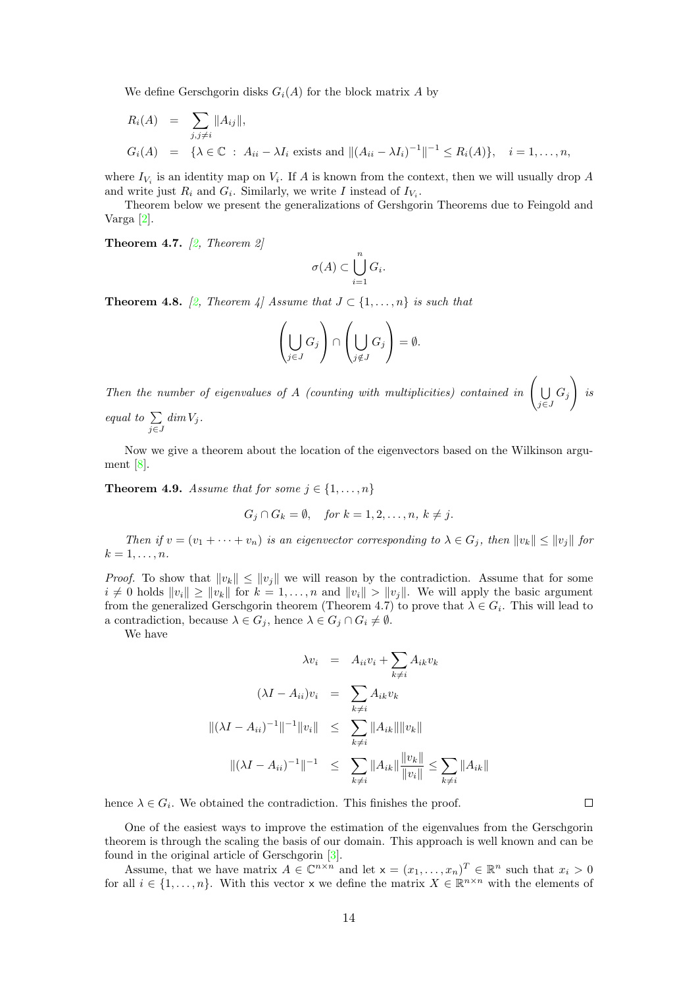We define Gerschgorin disks  $G_i(A)$  for the block matrix A by

$$
R_i(A) = \sum_{j,j \neq i} ||A_{ij}||,
$$
  
\n
$$
G_i(A) = \{ \lambda \in \mathbb{C} : A_{ii} - \lambda I_i \text{ exists and } ||(A_{ii} - \lambda I_i)^{-1}||^{-1} \leq R_i(A) \}, \quad i = 1, ..., n,
$$

where  $I_{V_i}$  is an identity map on  $V_i$ . If A is known from the context, then we will usually drop A and write just  $R_i$  and  $G_i$ . Similarly, we write I instead of  $I_{V_i}$ .

Theorem below we present the generalizations of Gershgorin Theorems due to Feingold and Varga [\[2\]](#page-22-2).

<span id="page-13-0"></span>**Theorem 4.7.**  $\lbrack 2, Theorem 2 \rbrack$ 

$$
\sigma(A) \subset \bigcup_{i=1}^n G_i.
$$

<span id="page-13-1"></span>**Theorem 4.8.** [\[2,](#page-22-2) Theorem 4] Assume that  $J \subset \{1, \ldots, n\}$  is such that

$$
\left(\bigcup_{j\in J} G_j\right) \cap \left(\bigcup_{j\notin J} G_j\right) = \emptyset.
$$

Then the number of eigenvalues of A (counting with multiplicities) contained in  $\Big( \bigcup$  $\bigcup_{j\in J} G_j$  $\setminus$ is equal to  $\Sigma$  $\sum_{j\in J} dim V_j$ .

Now we give a theorem about the location of the eigenvectors based on the Wilkinson argument [\[8\]](#page-22-3).

<span id="page-13-2"></span>**Theorem 4.9.** Assume that for some  $j \in \{1, \ldots, n\}$ 

$$
G_j \cap G_k = \emptyset, \quad \text{for } k = 1, 2, \dots, n, \ k \neq j.
$$

Then if  $v = (v_1 + \cdots + v_n)$  is an eigenvector corresponding to  $\lambda \in G_j$ , then  $||v_k|| \le ||v_j||$  for  $k=1,\ldots,n$ .

*Proof.* To show that  $||v_k|| \le ||v_j||$  we will reason by the contradiction. Assume that for some  $i \neq 0$  holds  $||v_i|| \geq ||v_k||$  for  $k = 1, ..., n$  and  $||v_i|| > ||v_j||$ . We will apply the basic argument from the generalized Gerschgorin theorem (Theorem [4.7\)](#page-13-0) to prove that  $\lambda \in G_i$ . This will lead to a contradiction, because  $\lambda \in G_j$ , hence  $\lambda \in G_j \cap G_i \neq \emptyset$ .

We have

$$
\lambda v_i = A_{ii} v_i + \sum_{k \neq i} A_{ik} v_k
$$
  

$$
(\lambda I - A_{ii}) v_i = \sum_{k \neq i} A_{ik} v_k
$$
  

$$
\|(\lambda I - A_{ii})^{-1}\|^{-1} \|v_i\| \leq \sum_{k \neq i} \|A_{ik}\| \|v_k\|
$$
  

$$
\|(\lambda I - A_{ii})^{-1}\|^{-1} \leq \sum_{k \neq i} \|A_{ik}\| \frac{\|v_k\|}{\|v_i\|} \leq \sum_{k \neq i} \|A_{ik}\|
$$

hence  $\lambda \in G_i$ . We obtained the contradiction. This finishes the proof.

 $\Box$ 

One of the easiest ways to improve the estimation of the eigenvalues from the Gerschgorin theorem is through the scaling the basis of our domain. This approach is well known and can be found in the original article of Gerschgorin [\[3\]](#page-22-8).

Assume, that we have matrix  $A \in \mathbb{C}^{n \times n}$  and let  $\mathsf{x} = (x_1, \ldots, x_n)^T \in \mathbb{R}^n$  such that  $x_i > 0$ for all  $i \in \{1, \ldots, n\}$ . With this vector x we define the matrix  $X \in \mathbb{R}^{n \times n}$  with the elements of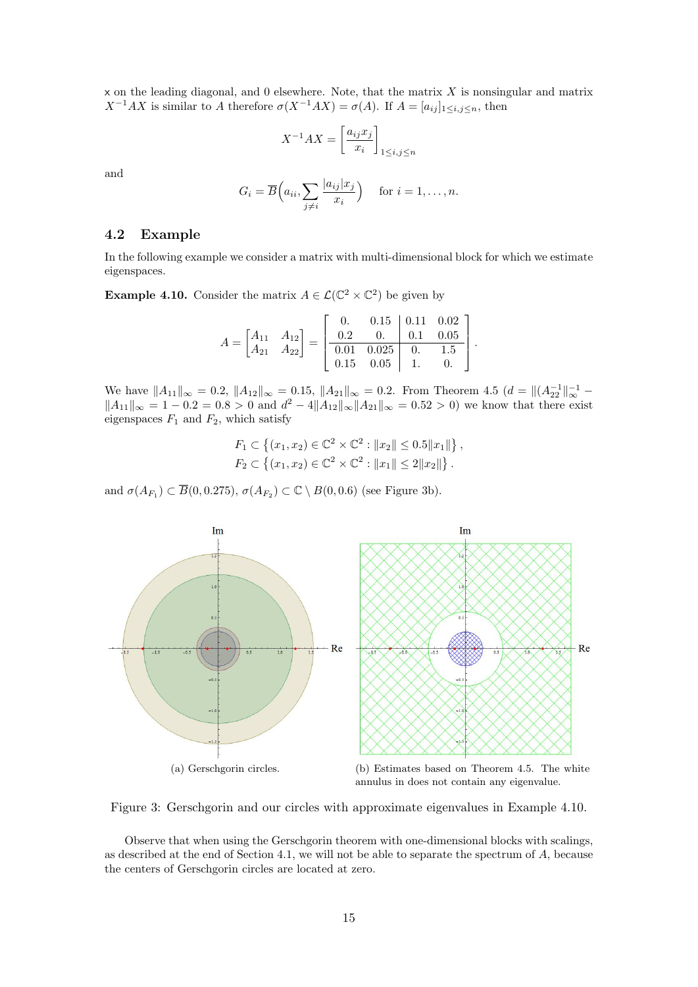$x$  on the leading diagonal, and 0 elsewhere. Note, that the matrix  $X$  is nonsingular and matrix  $X^{-1}AX$  is similar to A therefore  $\sigma(X^{-1}AX) = \sigma(A)$ . If  $A = [a_{ij}]_{1 \le i,j \le n}$ , then

$$
X^{-1}AX = \left[\frac{a_{ij}x_j}{x_i}\right]_{1\le i,j\le n}
$$

and

$$
G_i = \overline{B}\left(a_{ii}, \sum_{j \neq i} \frac{|a_{ij}| x_j}{x_i}\right) \quad \text{ for } i = 1, \dots, n.
$$

#### 4.2 Example

In the following example we consider a matrix with multi-dimensional block for which we estimate eigenspaces.

<span id="page-14-1"></span>**Example 4.10.** Consider the matrix  $A \in \mathcal{L}(\mathbb{C}^2 \times \mathbb{C}^2)$  be given by

$$
A = \begin{bmatrix} A_{11} & A_{12} \\ A_{21} & A_{22} \end{bmatrix} = \begin{bmatrix} 0. & 0.15 & 0.11 & 0.02 \\ 0.2 & 0. & 0.1 & 0.05 \\ 0.01 & 0.025 & 0. & 1.5 \\ 0.15 & 0.05 & 1. & 0. \end{bmatrix}
$$

.

We have  $||A_{11}||_{\infty} = 0.2$ ,  $||A_{12}||_{\infty} = 0.15$ ,  $||A_{21}||_{\infty} = 0.2$ . From Theorem [4.5](#page-12-2)  $(d = ||(A_{22}^{-1}||_{\infty}^{-1} - A_{22}^{-1}||_{\infty}^{-1}))$  $||A_{11}||_{\infty} = 1 - 0.2 = 0.8 > 0$  and  $d^2 - 4||A_{12}||_{\infty}||A_{21}||_{\infty} = 0.52 > 0$  we know that there exist eigenspaces  $F_1$  and  $F_2$ , which satisfy

$$
F_1 \subset \{(x_1, x_2) \in \mathbb{C}^2 \times \mathbb{C}^2 : ||x_2|| \le 0.5||x_1||\},\
$$
  

$$
F_2 \subset \{(x_1, x_2) \in \mathbb{C}^2 \times \mathbb{C}^2 : ||x_1|| \le 2||x_2||\}.
$$

and  $\sigma(A_{F_1}) \subset \overline{B}(0, 0.275), \sigma(A_{F_2}) \subset \mathbb{C} \setminus B(0, 0.6)$  (see Figure [3b\)](#page-14-0).



<span id="page-14-0"></span>Figure 3: Gerschgorin and our circles with approximate eigenvalues in Example [4.10.](#page-14-1)

Observe that when using the Gerschgorin theorem with one-dimensional blocks with scalings, as described at the end of Section [4.1,](#page-12-3) we will not be able to separate the spectrum of A, because the centers of Gerschgorin circles are located at zero.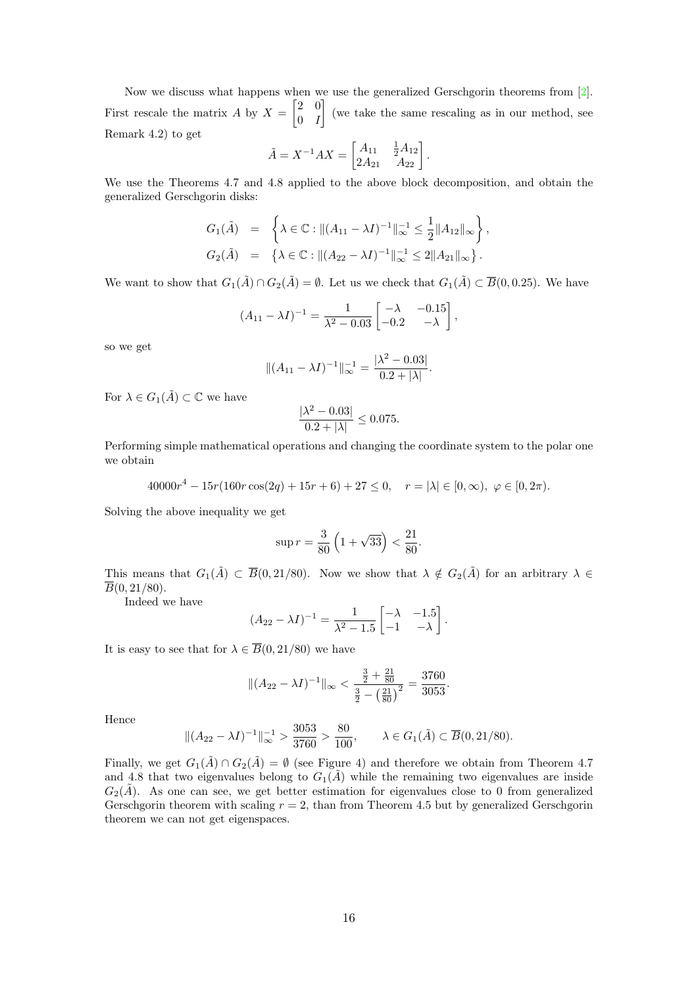Now we discuss what happens when we use the generalized Gerschgorin theorems from [\[2\]](#page-22-2). First rescale the matrix A by  $X = \begin{bmatrix} 2 & 0 \\ 0 & I \end{bmatrix}$  $0 \quad I$  (we take the same rescaling as in our method, see Remark [4.2\)](#page-10-3) to get

$$
\tilde{A} = X^{-1}AX = \begin{bmatrix} A_{11} & \frac{1}{2}A_{12} \\ 2A_{21} & A_{22} \end{bmatrix}.
$$

We use the Theorems [4.7](#page-13-0) and [4.8](#page-13-1) applied to the above block decomposition, and obtain the generalized Gerschgorin disks:

$$
G_1(\tilde{A}) = \left\{ \lambda \in \mathbb{C} : || (A_{11} - \lambda I)^{-1} ||_{\infty}^{-1} \le \frac{1}{2} || A_{12} ||_{\infty} \right\},
$$
  
\n
$$
G_2(\tilde{A}) = \left\{ \lambda \in \mathbb{C} : || (A_{22} - \lambda I)^{-1} ||_{\infty}^{-1} \le 2 || A_{21} ||_{\infty} \right\}.
$$

We want to show that  $G_1(\tilde{A}) \cap G_2(\tilde{A}) = \emptyset$ . Let us we check that  $G_1(\tilde{A}) \subset \overline{B}(0, 0.25)$ . We have

$$
(A_{11} - \lambda I)^{-1} = \frac{1}{\lambda^2 - 0.03} \begin{bmatrix} -\lambda & -0.15 \\ -0.2 & -\lambda \end{bmatrix},
$$

so we get

$$
||(A_{11} - \lambda I)^{-1}||_{\infty}^{-1} = \frac{|\lambda^2 - 0.03|}{0.2 + |\lambda|}.
$$

For  $\lambda \in G_1(\tilde{A}) \subset \mathbb{C}$  we have

$$
\frac{|\lambda^2 - 0.03|}{0.2 + |\lambda|} \le 0.075.
$$

Performing simple mathematical operations and changing the coordinate system to the polar one we obtain

 $40000r^4 - 15r(160r\cos(2q) + 15r + 6) + 27 \leq 0$ ,  $r = |\lambda| \in [0, \infty)$ ,  $\varphi \in [0, 2\pi)$ .

Solving the above inequality we get

$$
\sup r = \frac{3}{80} \left( 1 + \sqrt{33} \right) < \frac{21}{80}.
$$

This means that  $G_1(\tilde{A}) \subset \overline{B}(0, 21/80)$ . Now we show that  $\lambda \notin G_2(\tilde{A})$  for an arbitrary  $\lambda \in$  $\overline{B}(0, 21/80)$ .

Indeed we have

$$
(A_{22} - \lambda I)^{-1} = \frac{1}{\lambda^2 - 1.5} \begin{bmatrix} -\lambda & -1.5 \\ -1 & -\lambda \end{bmatrix}.
$$

It is easy to see that for  $\lambda \in \overline{B}(0, 21/80)$  we have

$$
\|(A_{22} - \lambda I)^{-1}\|_{\infty} < \frac{\frac{3}{2} + \frac{21}{80}}{\frac{3}{2} - \left(\frac{21}{80}\right)^2} = \frac{3760}{3053}.
$$

Hence

$$
\|(A_{22} - \lambda I)^{-1}\|_{\infty}^{-1} > \frac{3053}{3760} > \frac{80}{100}, \qquad \lambda \in G_1(\tilde{A}) \subset \overline{B}(0, 21/80).
$$

Finally, we get  $G_1(\tilde{A}) \cap G_2(\tilde{A}) = \emptyset$  (see Figure [4\)](#page-16-1) and therefore we obtain from Theorem [4.7](#page-13-0) and [4.8](#page-13-1) that two eigenvalues belong to  $G_1(\tilde{A})$  while the remaining two eigenvalues are inside  $G_2(A)$ . As one can see, we get better estimation for eigenvalues close to 0 from generalized Gerschgorin theorem with scaling  $r = 2$ , than from Theorem [4.5](#page-12-2) but by generalized Gerschgorin theorem we can not get eigenspaces.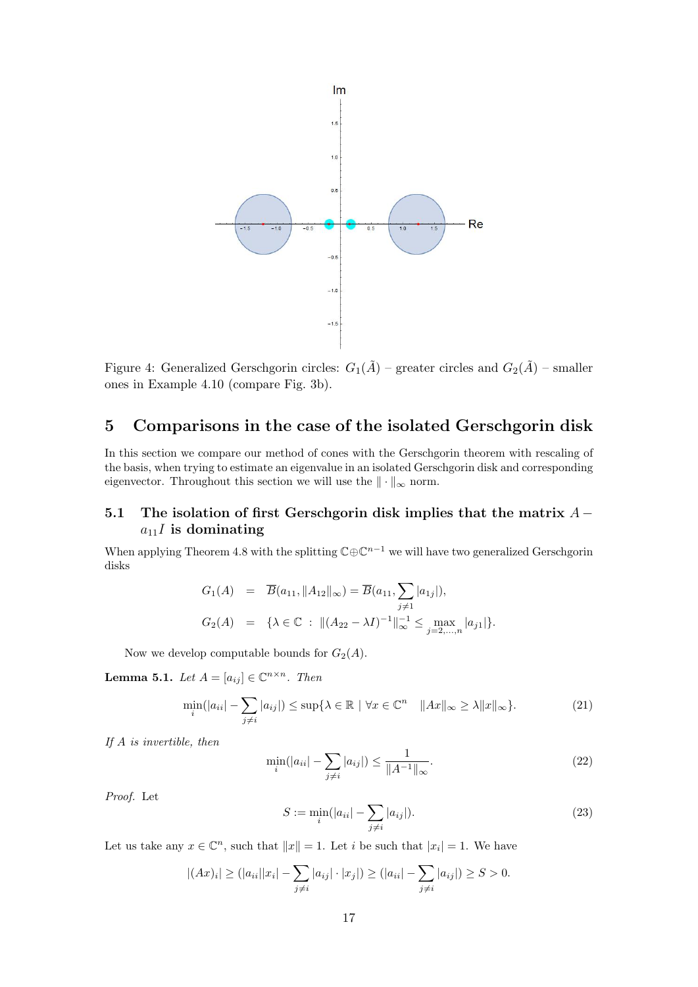<span id="page-16-1"></span>

Figure 4: Generalized Gerschgorin circles:  $G_1(\tilde{A})$  – greater circles and  $G_2(\tilde{A})$  – smaller ones in Example [4.10](#page-14-1) (compare Fig. [3b\)](#page-14-0).

# <span id="page-16-0"></span>5 Comparisons in the case of the isolated Gerschgorin disk

In this section we compare our method of cones with the Gerschgorin theorem with rescaling of the basis, when trying to estimate an eigenvalue in an isolated Gerschgorin disk and corresponding eigenvector. Throughout this section we will use the  $\|\cdot\|_{\infty}$  norm.

### 5.1 The isolation of first Gerschgorin disk implies that the matrix  $A$  $a_{11}I$  is dominating

When applying Theorem [4.8](#page-13-1) with the splitting  $\mathbb{C}\oplus \mathbb{C}^{n-1}$  we will have two generalized Gerschgorin disks

$$
G_1(A) = \overline{B}(a_{11}, \|A_{12}\|_{\infty}) = \overline{B}(a_{11}, \sum_{j \neq 1} |a_{1j}|),
$$
  
\n
$$
G_2(A) = \{ \lambda \in \mathbb{C} : \| (A_{22} - \lambda I)^{-1} \|_{\infty}^{-1} \le \max_{j=2,\dots,n} |a_{j1}| \}.
$$

Now we develop computable bounds for  $G_2(A)$ .

<span id="page-16-3"></span>**Lemma 5.1.** Let  $A = [a_{ij}] \in \mathbb{C}^{n \times n}$ . Then

<span id="page-16-2"></span>
$$
\min_{i}(|a_{ii}| - \sum_{j \neq i} |a_{ij}|) \leq \sup \{ \lambda \in \mathbb{R} \mid \forall x \in \mathbb{C}^n \quad ||Ax||_{\infty} \geq \lambda ||x||_{\infty} \}.
$$
\n(21)

If A is invertible, then

$$
\min_{i}(|a_{ii}| - \sum_{j \neq i} |a_{ij}|) \leq \frac{1}{\|A^{-1}\|_{\infty}}.
$$
\n(22)

Proof. Let

$$
S := \min_{i}(|a_{ii}| - \sum_{j \neq i} |a_{ij}|). \tag{23}
$$

Let us take any  $x \in \mathbb{C}^n$ , such that  $||x|| = 1$ . Let i be such that  $|x_i| = 1$ . We have

$$
|(Ax)_i| \ge (|a_{ii}||x_i| - \sum_{j \ne i} |a_{ij}| \cdot |x_j|) \ge (|a_{ii}| - \sum_{j \ne i} |a_{ij}|) \ge S > 0.
$$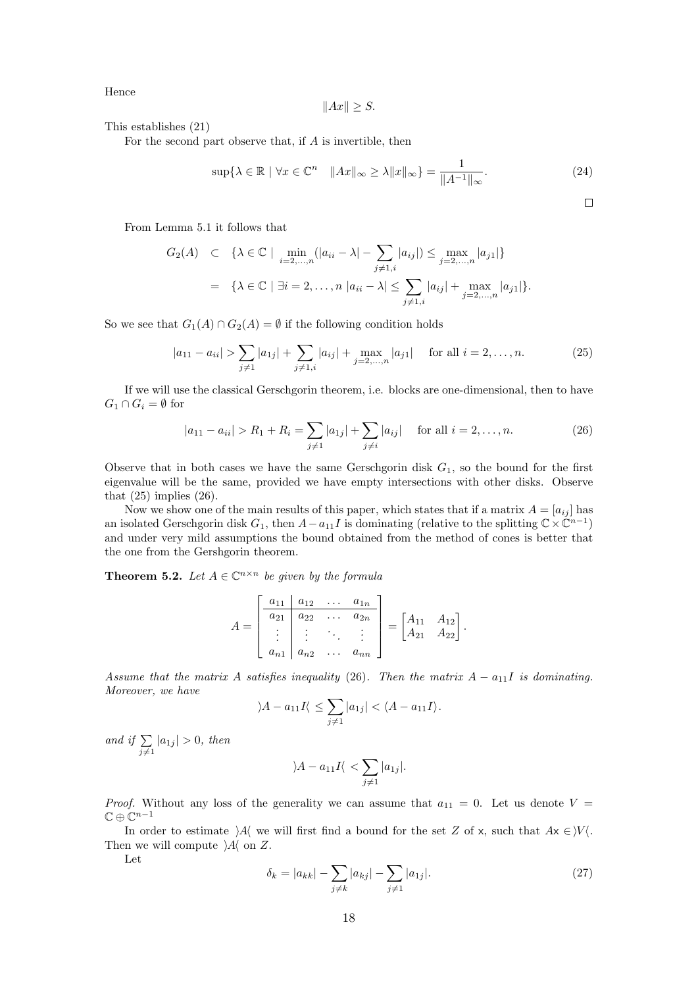Hence

$$
||Ax|| \geq S.
$$

This establishes [\(21\)](#page-16-2)

For the second part observe that, if A is invertible, then

$$
\sup\{\lambda \in \mathbb{R} \mid \forall x \in \mathbb{C}^n \quad \|Ax\|_{\infty} \ge \lambda \|x\|_{\infty}\} = \frac{1}{\|A^{-1}\|_{\infty}}.\tag{24}
$$

 $\Box$ 

From Lemma [5.1](#page-16-3) it follows that

$$
G_2(A) \subset \{ \lambda \in \mathbb{C} \mid \min_{i=2,\dots,n} (|a_{ii} - \lambda| - \sum_{j \neq 1,i} |a_{ij}|) \le \max_{j=2,\dots,n} |a_{j1}| \}
$$
  
=  $\{ \lambda \in \mathbb{C} \mid \exists i = 2,\dots,n |a_{ii} - \lambda| \le \sum_{j \neq 1,i} |a_{ij}| + \max_{j=2,\dots,n} |a_{j1}| \}.$ 

So we see that  $G_1(A) \cap G_2(A) = \emptyset$  if the following condition holds

<span id="page-17-1"></span>
$$
|a_{11} - a_{ii}| > \sum_{j \neq 1} |a_{1j}| + \sum_{j \neq 1, i} |a_{ij}| + \max_{j=2,\dots,n} |a_{j1}| \quad \text{for all } i = 2,\dots,n.
$$
 (25)

If we will use the classical Gerschgorin theorem, i.e. blocks are one-dimensional, then to have  $G_1 \cap G_i = \emptyset$  for

<span id="page-17-2"></span>
$$
|a_{11} - a_{ii}| > R_1 + R_i = \sum_{j \neq 1} |a_{1j}| + \sum_{j \neq i} |a_{ij}| \quad \text{for all } i = 2, ..., n.
$$
 (26)

Observe that in both cases we have the same Gerschgorin disk  $G_1$ , so the bound for the first eigenvalue will be the same, provided we have empty intersections with other disks. Observe that  $(25)$  implies  $(26)$ .

Now we show one of the main results of this paper, which states that if a matrix  $A = [a_{ij}]$  has an isolated Gerschgorin disk  $G_1$ , then  $A-a_{11}I$  is dominating (relative to the splitting  $\mathbb{C}\times\mathbb{C}^{n-1}$ ) and under very mild assumptions the bound obtained from the method of cones is better that the one from the Gershgorin theorem.

<span id="page-17-0"></span>**Theorem 5.2.** Let  $A \in \mathbb{C}^{n \times n}$  be given by the formula

$$
A = \begin{bmatrix} a_{11} & a_{12} & \dots & a_{1n} \\ a_{21} & a_{22} & \dots & a_{2n} \\ \vdots & \vdots & \ddots & \vdots \\ a_{n1} & a_{n2} & \dots & a_{nn} \end{bmatrix} = \begin{bmatrix} A_{11} & A_{12} \\ A_{21} & A_{22} \end{bmatrix}.
$$

Assume that the matrix A satisfies inequality [\(26\)](#page-17-2). Then the matrix  $A - a_{11}I$  is dominating. Moreover, we have

$$
\langle A - a_{11}I \langle \leq \sum_{j \neq 1} |a_{1j}| < \langle A - a_{11}I \rangle.
$$

and if  $\Sigma$  $\sum_{j\neq 1} |a_{1j}| > 0$ , then

$$
\lambda - a_{11}I \langle \langle \sum_{j \neq 1} |a_{1j}|.
$$

*Proof.* Without any loss of the generality we can assume that  $a_{11} = 0$ . Let us denote  $V =$  $\mathbb{C}\oplus\mathbb{C}^{n-1}$ 

In order to estimate  $\lambda$ A we will first find a bound for the set Z of x, such that  $Ax \in V$ . Then we will compute  $\mathcal{A}$  on Z.

Let

<span id="page-17-3"></span>
$$
\delta_k = |a_{kk}| - \sum_{j \neq k} |a_{kj}| - \sum_{j \neq 1} |a_{1j}|.
$$
 (27)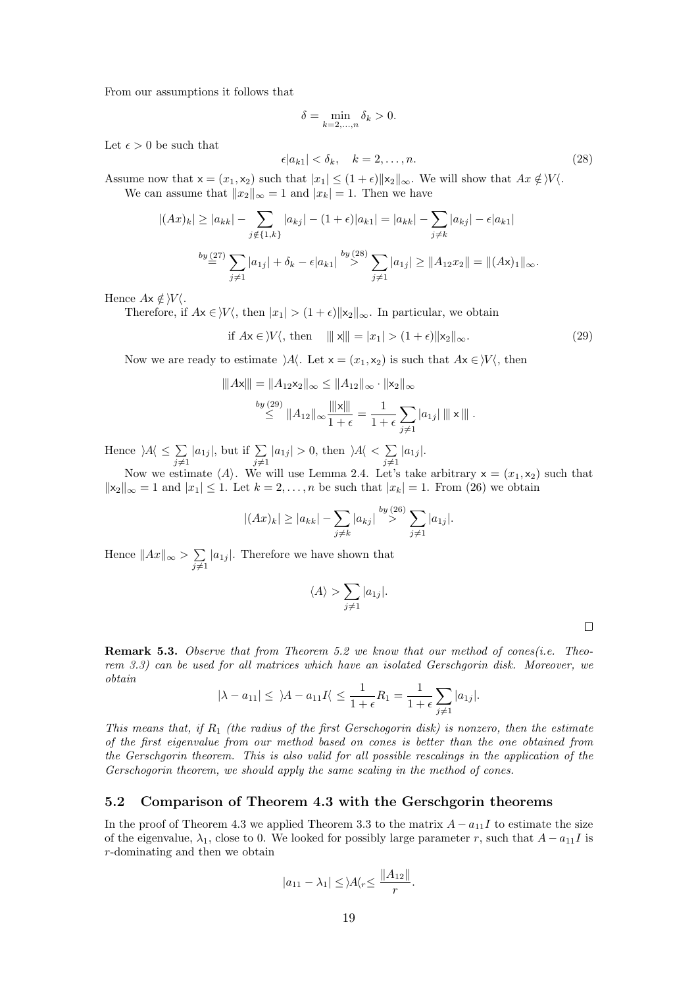From our assumptions it follows that

$$
\delta = \min_{k=2,\dots,n} \delta_k > 0.
$$

Let  $\epsilon > 0$  be such that

<span id="page-18-0"></span>
$$
\epsilon |a_{k1}| < \delta_k, \quad k = 2, \dots, n. \tag{28}
$$

Assume now that  $x = (x_1, x_2)$  such that  $|x_1| \leq (1 + \epsilon) ||x_2||_{\infty}$ . We will show that  $Ax \notin V \setminus V$ . We can assume that  $||x_2||_{\infty} = 1$  and  $|x_k| = 1$ . Then we have

$$
|(Ax)_k| \ge |a_{kk}| - \sum_{j \notin \{1,k\}} |a_{kj}| - (1+\epsilon)|a_{k1}| = |a_{kk}| - \sum_{j \ne k} |a_{kj}| - \epsilon |a_{k1}|
$$
  

$$
\stackrel{by (27)}{=} \sum_{j \ne 1} |a_{1j}| + \delta_k - \epsilon |a_{k1}| \stackrel{by (28)}{>} \sum_{j \ne 1} |a_{1j}| \ge ||A_{12}x_2|| = ||(Ax)_1||_{\infty}.
$$

Hence  $Ax \notin V$ .

Therefore, if  $Ax \in V\langle$ , then  $|x_1| > (1 + \epsilon) ||x_2||_{\infty}$ . In particular, we obtain

<span id="page-18-1"></span>if  $Ax \in V$ , then  $|||x|| = |x_1| > (1 + \epsilon) ||x_2||_\infty$ . (29)

Now we are ready to estimate  $\lambda A$ . Let  $x = (x_1, x_2)$  is such that  $Ax \in V$ , then

$$
|||Ax||| = ||A_{12}x_2||_{\infty} \le ||A_{12}||_{\infty} \cdot ||x_2||_{\infty}
$$
  

$$
\overset{by (29)}{\leq} ||A_{12}||_{\infty} \frac{||x||}{1+\epsilon} = \frac{1}{1+\epsilon} \sum_{j \neq 1} |a_{1j}| |||x|||.
$$

Hence  $\lambda A \leq \sum$  $\sum_{j\neq 1} |a_{1j}|$ , but if  $\sum_{j\neq 1} |a_{1j}| > 0$ , then  $\forall A \langle \langle \sum_{j\neq 1}$  $\sum_{j\neq 1} |a_{1j}|.$ 

Now we estimate  $\langle A \rangle$ . We will use Lemma [2.4.](#page-5-8) Let's take arbitrary  $x = (x_1, x_2)$  such that  $\|x_2\|_{\infty} = 1$  and  $|x_1| \leq 1$ . Let  $k = 2, \ldots, n$  be such that  $|x_k| = 1$ . From [\(26\)](#page-17-2) we obtain

$$
|(Ax)_k| \ge |a_{kk}| - \sum_{j \ne k} |a_{kj}| \stackrel{by (26)}{\ge} \sum_{j \ne 1} |a_{1j}|.
$$

Hence  $||Ax||_{\infty} > \sum$  $\sum_{j\neq 1} |a_{1j}|$ . Therefore we have shown that

$$
\langle A \rangle > \sum_{j \neq 1} |a_{1j}|.
$$

**Remark 5.3.** Observe that from Theorem [5.2](#page-17-0) we know that our method of cones(*i.e.* Theorem [3.3\)](#page-9-0) can be used for all matrices which have an isolated Gerschgorin disk. Moreover, we obtain

$$
|\lambda - a_{11}| \leq \lambda - a_{11}I \leq \frac{1}{1+\epsilon}R_1 = \frac{1}{1+\epsilon}\sum_{j\neq 1}|a_{1j}|.
$$

This means that, if  $R_1$  (the radius of the first Gerschogorin disk) is nonzero, then the estimate of the first eigenvalue from our method based on cones is better than the one obtained from the Gerschgorin theorem. This is also valid for all possible rescalings in the application of the Gerschogorin theorem, we should apply the same scaling in the method of cones.

#### 5.2 Comparison of Theorem [4.3](#page-11-0) with the Gerschgorin theorems

In the proof of Theorem [4.3](#page-11-0) we applied Theorem [3.3](#page-9-0) to the matrix  $A - a_{11}I$  to estimate the size of the eigenvalue,  $\lambda_1$ , close to 0. We looked for possibly large parameter r, such that  $A - a_{11}I$  is r-dominating and then we obtain

$$
|a_{11}-\lambda_1|\leq\rangle A\langle r\leq\frac{\|A_{12}\|}{r}.
$$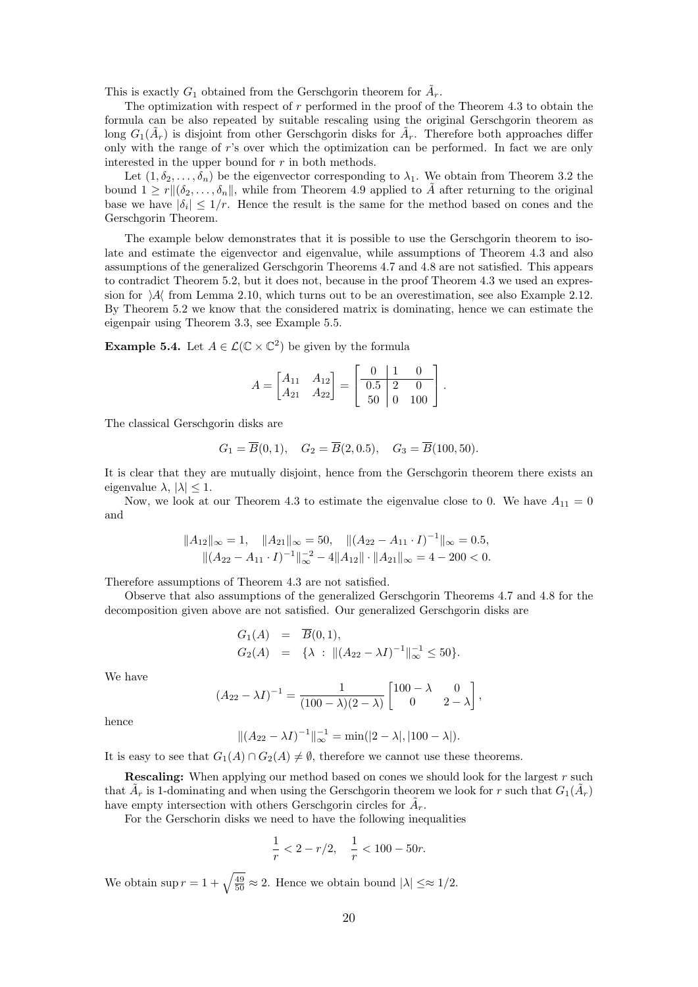This is exactly  $G_1$  obtained from the Gerschgorin theorem for  $\tilde{A}_r$ .

The optimization with respect of r performed in the proof of the Theorem [4.3](#page-11-0) to obtain the formula can be also repeated by suitable rescaling using the original Gerschgorin theorem as long  $G_1(\tilde{A}_r)$  is disjoint from other Gerschgorin disks for  $\tilde{A}_r$ . Therefore both approaches differ only with the range of r's over which the optimization can be performed. In fact we are only interested in the upper bound for  $r$  in both methods.

Let  $(1, \delta_2, \ldots, \delta_n)$  be the eigenvector corresponding to  $\lambda_1$ . We obtain from Theorem [3.2](#page-7-3) the bound  $1 \geq r \|(\delta_2, \ldots, \delta_n\|)$ , while from Theorem [4.9](#page-13-2) applied to A after returning to the original base we have  $|\delta_i| \leq 1/r$ . Hence the result is the same for the method based on cones and the Gerschgorin Theorem.

The example below demonstrates that it is possible to use the Gerschgorin theorem to isolate and estimate the eigenvector and eigenvalue, while assumptions of Theorem [4.3](#page-11-0) and also assumptions of the generalized Gerschgorin Theorems [4.7](#page-13-0) and [4.8](#page-13-1) are not satisfied. This appears to contradict Theorem [5.2,](#page-17-0) but it does not, because in the proof Theorem [4.3](#page-11-0) we used an expression for  $\mathcal{A}$  from Lemma [2.10,](#page-6-3) which turns out to be an overestimation, see also Example [2.12.](#page-7-4) By Theorem [5.2](#page-17-0) we know that the considered matrix is dominating, hence we can estimate the eigenpair using Theorem [3.3,](#page-9-0) see Example [5.5.](#page-20-1)

<span id="page-19-0"></span>**Example 5.4.** Let  $A \in \mathcal{L}(\mathbb{C} \times \mathbb{C}^2)$  be given by the formula

$$
A = \begin{bmatrix} A_{11} & A_{12} \\ A_{21} & A_{22} \end{bmatrix} = \begin{bmatrix} 0 & 1 & 0 \\ 0.5 & 2 & 0 \\ 50 & 0 & 100 \end{bmatrix}.
$$

The classical Gerschgorin disks are

$$
G_1 = \overline{B}(0,1), \quad G_2 = \overline{B}(2,0.5), \quad G_3 = \overline{B}(100,50).
$$

It is clear that they are mutually disjoint, hence from the Gerschgorin theorem there exists an eigenvalue  $\lambda$ ,  $|\lambda| \leq 1$ .

Now, we look at our Theorem [4.3](#page-11-0) to estimate the eigenvalue close to 0. We have  $A_{11} = 0$ and

$$
||A_{12}||_{\infty} = 1, \quad ||A_{21}||_{\infty} = 50, \quad ||(A_{22} - A_{11} \cdot I)^{-1}||_{\infty} = 0.5, ||(A_{22} - A_{11} \cdot I)^{-1}||_{\infty}^{-2} - 4||A_{12}|| \cdot ||A_{21}||_{\infty} = 4 - 200 < 0.
$$

Therefore assumptions of Theorem [4.3](#page-11-0) are not satisfied.

Observe that also assumptions of the generalized Gerschgorin Theorems [4.7](#page-13-0) and [4.8](#page-13-1) for the decomposition given above are not satisfied. Our generalized Gerschgorin disks are

$$
G_1(A) = \overline{B}(0,1),
$$
  
\n
$$
G_2(A) = {\lambda : \| (A_{22} - \lambda I)^{-1} \|_{\infty}^{-1} \le 50 }.
$$

We have

$$
(A_{22} - \lambda I)^{-1} = \frac{1}{(100 - \lambda)(2 - \lambda)} \begin{bmatrix} 100 - \lambda & 0 \\ 0 & 2 - \lambda \end{bmatrix},
$$

hence

$$
||(A_{22} - \lambda I)^{-1}||_{\infty}^{-1} = \min(|2 - \lambda|, |100 - \lambda|).
$$

It is easy to see that  $G_1(A) \cap G_2(A) \neq \emptyset$ , therefore we cannot use these theorems.

Rescaling: When applying our method based on cones we should look for the largest r such that  $\tilde{A}_r$  is 1-dominating and when using the Gerschgorin theorem we look for r such that  $G_1(\tilde{A}_r)$ have empty intersection with others Gerschgorin circles for  $\tilde{A}_r$ .

For the Gerschorin disks we need to have the following inequalities

$$
\frac{1}{r} < 2 - r/2, \quad \frac{1}{r} < 100 - 50r.
$$

We obtain sup  $r = 1 + \sqrt{\frac{49}{50}} \approx 2$ . Hence we obtain bound  $|\lambda| \leq \approx 1/2$ .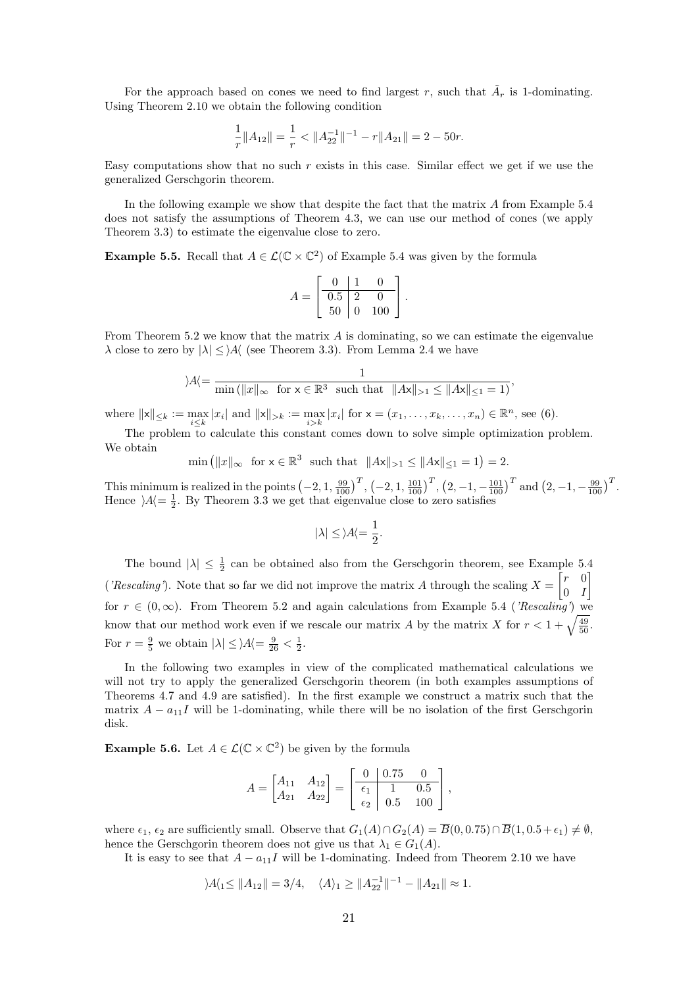For the approach based on cones we need to find largest r, such that  $\tilde{A}_r$  is 1-dominating. Using Theorem [2.10](#page-6-3) we obtain the following condition

$$
\frac{1}{r}||A_{12}|| = \frac{1}{r} < ||A_{22}^{-1}||^{-1} - r||A_{21}|| = 2 - 50r.
$$

Easy computations show that no such  $r$  exists in this case. Similar effect we get if we use the generalized Gerschgorin theorem.

In the following example we show that despite the fact that the matrix A from Example [5.4](#page-19-0) does not satisfy the assumptions of Theorem [4.3,](#page-11-0) we can use our method of cones (we apply Theorem [3.3\)](#page-9-0) to estimate the eigenvalue close to zero.

<span id="page-20-1"></span>**Example 5.5.** Recall that  $A \in \mathcal{L}(\mathbb{C} \times \mathbb{C}^2)$  of Example [5.4](#page-19-0) was given by the formula

$$
A = \begin{bmatrix} 0 & 1 & 0 \\ 0.5 & 2 & 0 \\ 50 & 0 & 100 \end{bmatrix}.
$$

From Theorem [5.2](#page-17-0) we know that the matrix  $A$  is dominating, so we can estimate the eigenvalue  $\lambda$  close to zero by  $|\lambda| \leq$  A (see Theorem [3.3\)](#page-9-0). From Lemma [2.4](#page-5-8) we have

$$
\rangle A \langle = \frac{1}{\min\left( \|x\|_{\infty} \text{ for } x \in \mathbb{R}^3 \text{ such that } \|Ax\|_{>1} \le \|Ax\|_{\le 1} = 1 \right)},
$$

where  $||x||_{\leq k} := \max_{i \leq k} |x_i|$  and  $||x||_{> k} := \max_{i > k} |x_i|$  for  $x = (x_1, \dots, x_k, \dots, x_n) \in \mathbb{R}^n$ , see [\(6\)](#page-5-4).

The problem to calculate this constant comes down to solve simple optimization problem. We obtain

$$
\min\left(\|x\|_{\infty} \text{ for } x \in \mathbb{R}^3 \text{ such that } \|Ax\|_{>1} \le \|Ax\|_{\le 1} = 1\right) = 2.
$$

This minimum is realized in the points  $\left(-2, 1, \frac{99}{100}\right)^T$ ,  $\left(-2, 1, \frac{101}{100}\right)^T$ ,  $\left(2, -1, -\frac{101}{100}\right)^T$  and  $\left(2, -1, -\frac{99}{100}\right)^T$ . Hence  $A = \frac{1}{2}$ . By Theorem [3.3](#page-9-0) we get that eigenvalue close to zero satisfies

$$
|\lambda|\leq \rangle A\langle=\frac{1}{2}.
$$

The bound  $|\lambda| \leq \frac{1}{2}$  can be obtained also from the Gerschgorin theorem, see Example [5.4](#page-19-0) ('Rescaling'). Note that so far we did not improve the matrix A through the scaling  $X = \begin{bmatrix} r & 0 \\ 0 & I \end{bmatrix}$  $0 \quad I$ 1 for  $r \in (0,\infty)$ . From Theorem [5.2](#page-17-0) and again calculations from Example [5.4](#page-19-0) ('Rescaling') we know that our method work even if we rescale our matrix A by the matrix X for  $r < 1 + \sqrt{\frac{49}{50}}$ . For  $r = \frac{9}{5}$  we obtain  $|\lambda| \leq |\mathcal{A}| = \frac{9}{26} < \frac{1}{2}$ .

In the following two examples in view of the complicated mathematical calculations we will not try to apply the generalized Gerschgorin theorem (in both examples assumptions of Theorems [4.7](#page-13-0) and [4.9](#page-13-2) are satisfied). In the first example we construct a matrix such that the matrix  $A - a_{11}I$  will be 1-dominating, while there will be no isolation of the first Gerschgorin disk.

<span id="page-20-0"></span>**Example 5.6.** Let  $A \in \mathcal{L}(\mathbb{C} \times \mathbb{C}^2)$  be given by the formula

$$
A = \begin{bmatrix} A_{11} & A_{12} \\ A_{21} & A_{22} \end{bmatrix} = \begin{bmatrix} 0 & 0.75 & 0 \\ \frac{\epsilon_1}{\epsilon_2} & 1 & 0.5 \\ 0.5 & 100 \end{bmatrix},
$$

where  $\epsilon_1$ ,  $\epsilon_2$  are sufficiently small. Observe that  $G_1(A) \cap G_2(A) = \overline{B}(0, 0.75) \cap \overline{B}(1, 0.5 + \epsilon_1) \neq \emptyset$ , hence the Gerschgorin theorem does not give us that  $\lambda_1 \in G_1(A)$ .

It is easy to see that  $A - a_{11}I$  will be 1-dominating. Indeed from Theorem [2.10](#page-6-3) we have

$$
|A_{1} \le ||A_{12}|| = 3/4, \quad \langle A \rangle_{1} \ge ||A_{22}^{-1}||^{-1} - ||A_{21}|| \approx 1.
$$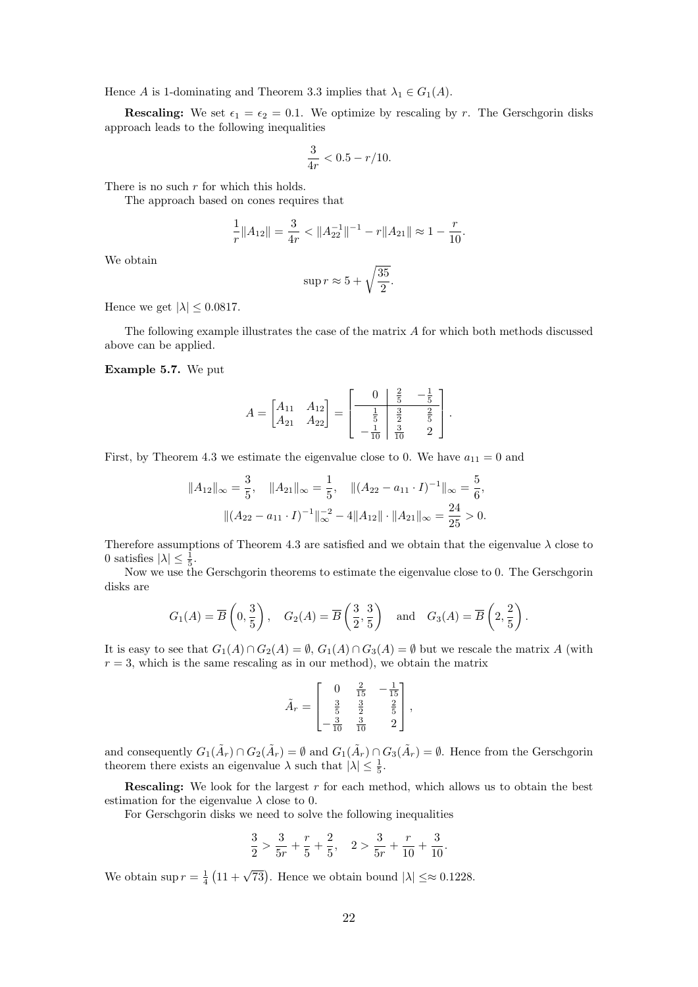Hence A is 1-dominating and Theorem [3.3](#page-9-0) implies that  $\lambda_1 \in G_1(A)$ .

**Rescaling:** We set  $\epsilon_1 = \epsilon_2 = 0.1$ . We optimize by rescaling by r. The Gerschgorin disks approach leads to the following inequalities

$$
\frac{3}{4r} < 0.5 - r/10.
$$

There is no such  $r$  for which this holds.

The approach based on cones requires that

$$
\frac{1}{r}||A_{12}|| = \frac{3}{4r} < ||A_{22}^{-1}||^{-1} - r||A_{21}|| \approx 1 - \frac{r}{10}.
$$

We obtain

$$
\sup r \approx 5 + \sqrt{\frac{35}{2}}.
$$

Hence we get  $|\lambda| \leq 0.0817$ .

The following example illustrates the case of the matrix A for which both methods discussed above can be applied.

Example 5.7. We put

$$
A = \begin{bmatrix} A_{11} & A_{12} \\ A_{21} & A_{22} \end{bmatrix} = \begin{bmatrix} 0 & \frac{2}{5} & -\frac{1}{5} \\ \frac{1}{5} & \frac{3}{2} & \frac{2}{5} \\ -\frac{1}{10} & \frac{3}{10} & 2 \end{bmatrix}.
$$

First, by Theorem [4.3](#page-11-0) we estimate the eigenvalue close to 0. We have  $a_{11} = 0$  and

$$
||A_{12}||_{\infty} = \frac{3}{5}, \quad ||A_{21}||_{\infty} = \frac{1}{5}, \quad ||(A_{22} - a_{11} \cdot I)^{-1}||_{\infty} = \frac{5}{6},
$$

$$
||(A_{22} - a_{11} \cdot I)^{-1}||_{\infty}^{-2} - 4||A_{12}|| \cdot ||A_{21}||_{\infty} = \frac{24}{25} > 0.
$$

Therefore assumptions of Theorem [4.3](#page-11-0) are satisfied and we obtain that the eigenvalue  $\lambda$  close to 0 satisfies  $|\lambda| \leq \frac{1}{5}$ .

Now we use the Gerschgorin theorems to estimate the eigenvalue close to 0. The Gerschgorin disks are

$$
G_1(A) = \overline{B}\left(0, \frac{3}{5}\right), \quad G_2(A) = \overline{B}\left(\frac{3}{2}, \frac{3}{5}\right) \quad \text{and} \quad G_3(A) = \overline{B}\left(2, \frac{2}{5}\right).
$$

It is easy to see that  $G_1(A) \cap G_2(A) = \emptyset$ ,  $G_1(A) \cap G_3(A) = \emptyset$  but we rescale the matrix A (with  $r = 3$ , which is the same rescaling as in our method), we obtain the matrix

$$
\tilde{A}_r = \begin{bmatrix} 0 & \frac{2}{15} & -\frac{1}{15} \\ \frac{3}{5} & \frac{3}{2} & \frac{2}{5} \\ -\frac{3}{10} & \frac{3}{10} & 2 \end{bmatrix},
$$

and consequently  $G_1(\tilde{A}_r) \cap G_2(\tilde{A}_r) = \emptyset$  and  $G_1(\tilde{A}_r) \cap G_3(\tilde{A}_r) = \emptyset$ . Hence from the Gerschgorin theorem there exists an eigenvalue  $\lambda$  such that  $|\lambda| \leq \frac{1}{5}$ .

**Rescaling:** We look for the largest  $r$  for each method, which allows us to obtain the best estimation for the eigenvalue  $\lambda$  close to 0.

For Gerschgorin disks we need to solve the following inequalities

$$
\frac{3}{2} > \frac{3}{5r} + \frac{r}{5} + \frac{2}{5}, \quad 2 > \frac{3}{5r} + \frac{r}{10} + \frac{3}{10}.
$$

We obtain sup  $r = \frac{1}{4} (11 + \sqrt{73})$ . Hence we obtain bound  $|\lambda| \leq \approx 0.1228$ .